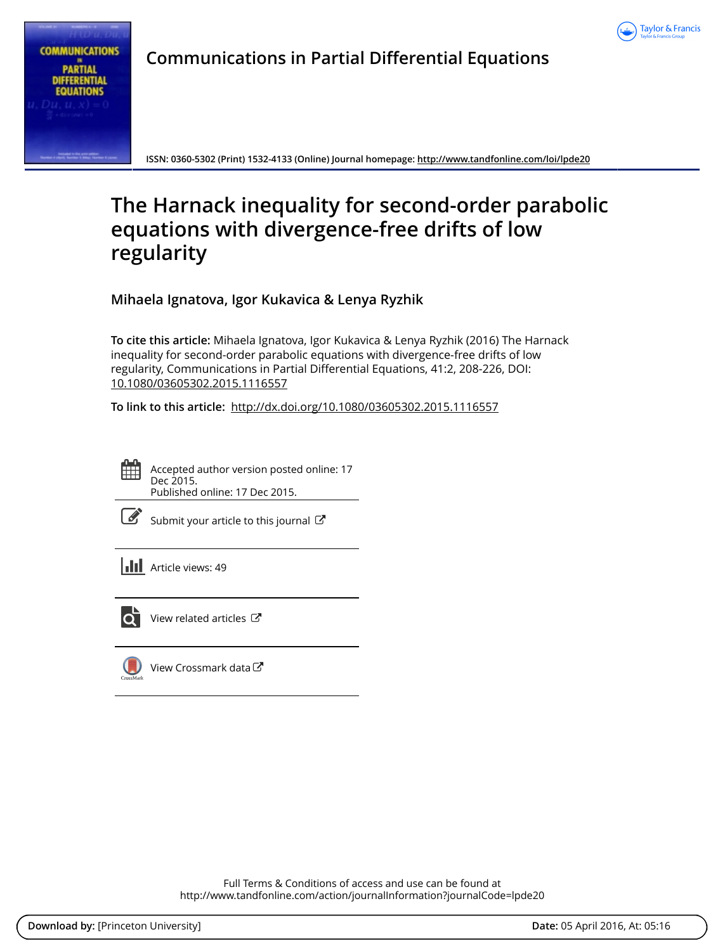



**Communications in Partial Differential Equations**

**ISSN: 0360-5302 (Print) 1532-4133 (Online) Journal homepage:<http://www.tandfonline.com/loi/lpde20>**

# **The Harnack inequality for second-order parabolic equations with divergence-free drifts of low regularity**

**Mihaela Ignatova, Igor Kukavica & Lenya Ryzhik**

**To cite this article:** Mihaela Ignatova, Igor Kukavica & Lenya Ryzhik (2016) The Harnack inequality for second-order parabolic equations with divergence-free drifts of low regularity, Communications in Partial Differential Equations, 41:2, 208-226, DOI: [10.1080/03605302.2015.1116557](http://www.tandfonline.com/action/showCitFormats?doi=10.1080/03605302.2015.1116557)

**To link to this article:** <http://dx.doi.org/10.1080/03605302.2015.1116557>



Accepted author version posted online: 17 Dec 2015. Published online: 17 Dec 2015.

| ł<br>٦ |
|--------|
|        |

[Submit your article to this journal](http://www.tandfonline.com/action/authorSubmission?journalCode=lpde20&page=instructions)  $\mathbb{Z}$ 

**III** Article views: 49



 $\overline{\mathbf{C}}$  [View related articles](http://www.tandfonline.com/doi/mlt/10.1080/03605302.2015.1116557)  $\mathbf{C}$ 



[View Crossmark data](http://crossmark.crossref.org/dialog/?doi=10.1080/03605302.2015.1116557&domain=pdf&date_stamp=2015-12-17)<sup>で</sup>

Full Terms & Conditions of access and use can be found at <http://www.tandfonline.com/action/journalInformation?journalCode=lpde20>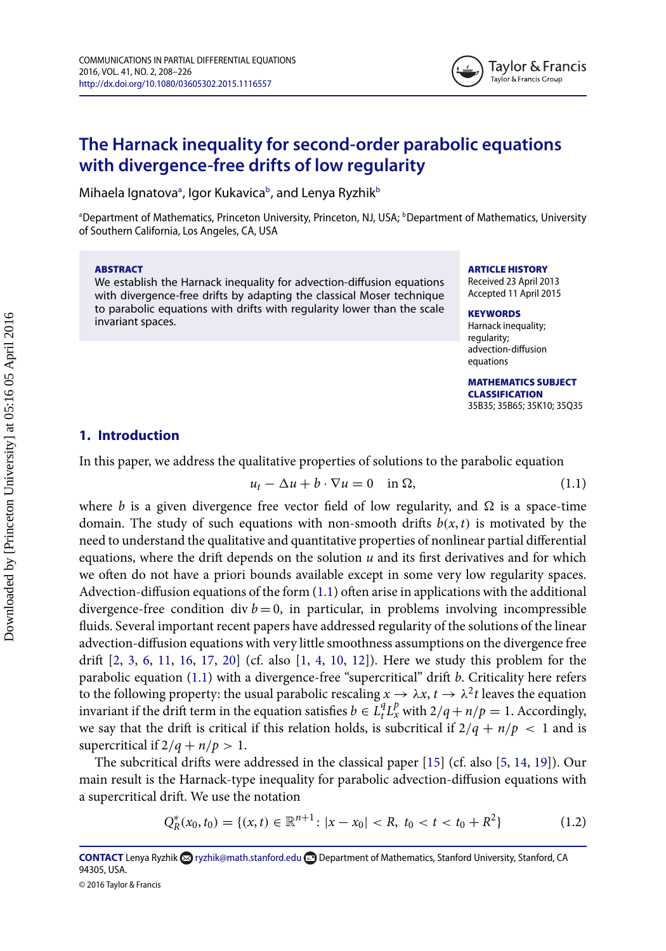

# **The Harnack inequality for second-order parabolic equations with divergence-free drifts of low regularity**

Mih[a](#page-1-0)ela Ignatovaª, Igor Kukavicaʰ, and Lenya Ryzhikʰ

<span id="page-1-0"></span><sup>a</sup>Department of Mathematics, Princeton University, Princeton, NJ, USA; <sup>b</sup>Department of Mathematics, University of Southern California, Los Angeles, CA, USA

#### ABSTRACT

We establish the Harnack inequality for advection-diffusion equations with divergence-free drifts by adapting the classical Moser technique to parabolic equations with drifts with regularity lower than the scale invariant spaces.

#### <span id="page-1-1"></span>ARTICLE HISTORY

Received 23 April 2013 Accepted 11 April 2015

## **KEYWORDS**

Harnack inequality; regularity; advection-diffusion equations

MATHEMATICS SUBJECT CLASSIFICATION 35B35; 35B65; 35K10; 35Q35

## **1. Introduction**

In this paper, we address the qualitative properties of solutions to the parabolic equation

<span id="page-1-2"></span>
$$
u_t - \Delta u + b \cdot \nabla u = 0 \quad \text{in } \Omega,\tag{1.1}
$$

where b is a given divergence free vector field of low regularity, and  $\Omega$  is a space-time domain. The study of such equations with non-smooth drifts  $b(x, t)$  is motivated by the need to understand the qualitative and quantitative properties of nonlinear partial differential equations, where the drift depends on the solution  $u$  and its first derivatives and for which we often do not have a priori bounds available except in some very low regularity spaces. Advection-diffusion equations of the form  $(1.1)$  often arise in applications with the additional divergence-free condition div  $b = 0$ , in particular, in problems involving incompressible fluids. Several important recent papers have addressed regularity of the solutions of the linear advection-diffusion equations with very little smoothness assumptions on the divergence free drift  $[2, 3, 6, 11, 16, 17, 20]$  $[2, 3, 6, 11, 16, 17, 20]$  $[2, 3, 6, 11, 16, 17, 20]$  $[2, 3, 6, 11, 16, 17, 20]$  $[2, 3, 6, 11, 16, 17, 20]$  $[2, 3, 6, 11, 16, 17, 20]$  $[2, 3, 6, 11, 16, 17, 20]$  $[2, 3, 6, 11, 16, 17, 20]$  $[2, 3, 6, 11, 16, 17, 20]$  $[2, 3, 6, 11, 16, 17, 20]$  $[2, 3, 6, 11, 16, 17, 20]$  $[2, 3, 6, 11, 16, 17, 20]$  (cf. also  $[1, 4, 10, 12]$  $[1, 4, 10, 12]$  $[1, 4, 10, 12]$  $[1, 4, 10, 12]$  $[1, 4, 10, 12]$  $[1, 4, 10, 12]$ ). Here we study this problem for the parabolic equation [\(1.1\)](#page-1-2) with a divergence-free "supercritical" drift b. Criticality here refers to the following property: the usual parabolic rescaling  $x\to\lambda x,$   $t\to\lambda^2t$  leaves the equation invariant if the drift term in the equation satisfies  $b \in L_t^q L_x^p$  with  $2/q + n/p = 1$ . Accordingly, we say that the drift is critical if this relation holds, is subcritical if  $2/q + n/p < 1$  and is supercritical if  $2/q + n/p > 1$ .

The subcritical drifts were addressed in the classical paper  $[15]$  (cf. also  $[5, 14, 19]$  $[5, 14, 19]$  $[5, 14, 19]$  $[5, 14, 19]$ ). Our main result is the Harnack-type inequality for parabolic advection-diffusion equations with a supercritical drift. We use the notation

<span id="page-1-3"></span>
$$
Q_R^*(x_0, t_0) = \{(x, t) \in \mathbb{R}^{n+1} : |x - x_0| < R, \ t_0 < t < t_0 + R^2\} \tag{1.2}
$$

**CONTACT** Lenya Ryzhik **&** [ryzhik@math.stanford.edu](mailto:ryzhik@math.stanford.edu) **Department of Mathematics, Stanford University, Stanford, CA** 94305, USA.

<sup>© 2016</sup> Taylor & Francis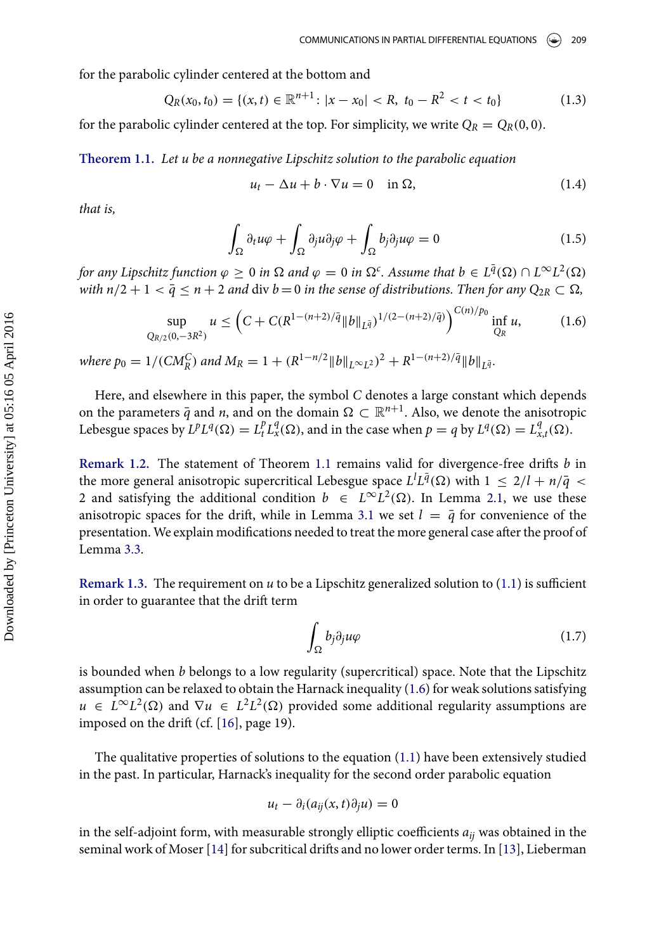for the parabolic cylinder centered at the bottom and

<span id="page-2-2"></span>
$$
Q_R(x_0, t_0) = \{(x, t) \in \mathbb{R}^{n+1} : |x - x_0| < R, \ t_0 - R^2 < t < t_0\} \tag{1.3}
$$

<span id="page-2-0"></span>for the parabolic cylinder centered at the top. For simplicity, we write  $Q_R = Q_R(0, 0)$ .

**Theorem 1.1.** Let u be a nonnegative Lipschitz solution to the parabolic equation

$$
u_t - \Delta u + b \cdot \nabla u = 0 \quad \text{in } \Omega,\tag{1.4}
$$

that is,

$$
\int_{\Omega} \partial_t u \varphi + \int_{\Omega} \partial_j u \partial_j \varphi + \int_{\Omega} b_j \partial_j u \varphi = 0 \tag{1.5}
$$

for any Lipschitz function  $\varphi\geq 0$  in  $\Omega$  and  $\varphi=0$  in  $\Omega^c$ . Assume that  $b\in L^{\bar q}(\Omega)\cap L^\infty L^2(\Omega)$ with  $n/2 + 1 < \bar{q} \le n + 2$  and div  $b = 0$  in the sense of distributions. Then for any  $Q_{2R} \subset \Omega$ ,

<span id="page-2-1"></span>
$$
\sup_{Q_{R/2}(0,-3R^2)} u \le \left( C + C(R^{1-(n+2)/\bar{q}} \|b\|_{L^{\bar{q}}})^{1/(2-(n+2)/\bar{q})} \right)^{C(n)/p_0} \inf_{Q_R} u,
$$
(1.6)

where  $p_0 = 1/(CM_R^C)$  and  $M_R = 1 + (R^{1-n/2} ||b||_{L^{\infty}L^2})^2 + R^{1-(n+2)/\bar{q}} ||b||_{L^{\bar{q}}}$ .

Here, and elsewhere in this paper, the symbol C denotes a large constant which depends on the parameters  $\bar{q}$  and  $n$ , and on the domain  $\Omega\subset \mathbb{R}^{n+1}.$  Also, we denote the anisotropic Lebesgue spaces by  $L^p L^q(\Omega) = L^p_t L^q_x(\Omega)$ , and in the case when  $p = q$  by  $L^q(\Omega) = L^q_x$  $C^q_{x,t}(\Omega).$ 

**Remark 1.2.** The statement of Theorem [1.1](#page-2-0) remains valid for divergence-free drifts b in the more general anisotropic supercritical Lebesgue space  $L^l L^{\bar q}(\Omega)$  with  $1\,\leq\,2/l+n/\bar q\,<$ 2 and satisfying the additional condition  $b \in L^{\infty}L^2(\Omega)$ . In Lemma [2.1,](#page-3-0) we use these anisotropic spaces for the drift, while in Lemma [3.1](#page-8-0) we set  $l = \bar{q}$  for convenience of the presentation. We explain modifications needed to treat the more general case after the proof of Lemma [3.3.](#page-11-0)

**Remark 1.3.** The requirement on  $u$  to be a Lipschitz generalized solution to  $(1.1)$  is sufficient in order to guarantee that the drift term

$$
\int_{\Omega} b_j \partial_j u \varphi \tag{1.7}
$$

is bounded when  $b$  belongs to a low regularity (supercritical) space. Note that the Lipschitz assumption can be relaxed to obtain the Harnack inequality [\(1.6\)](#page-2-1) for weak solutions satisfying  $u \in L^{\infty}L^2(\Omega)$  and  $\nabla u \in L^2L^2(\Omega)$  provided some additional regularity assumptions are imposed on the drift (cf.  $[16]$ , page 19).

The qualitative properties of solutions to the equation [\(1.1\)](#page-1-2) have been extensively studied in the past. In particular, Harnack's inequality for the second order parabolic equation

$$
u_t - \partial_i(a_{ij}(x, t)\partial_j u) = 0
$$

in the self-adjoint form, with measurable strongly elliptic coefficients  $a_{ij}$  was obtained in the seminal work of Moser [\[14\]](#page-19-13) for subcritical drifts and no lower order terms. In [\[13\]](#page-19-15), Lieberman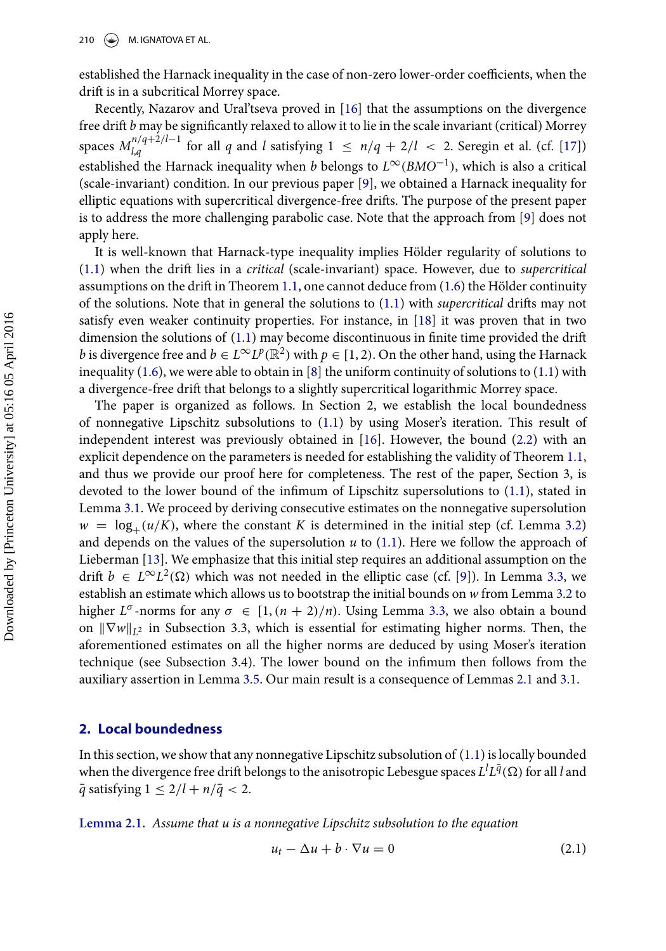established the Harnack inequality in the case of non-zero lower-order coefficients, when the drift is in a subcritical Morrey space.

Recently, Nazarov and Ural'tseva proved in [\[16\]](#page-19-4) that the assumptions on the divergence free drift  $b$  may be significantly relaxed to allow it to lie in the scale invariant (critical) Morrey spaces  $M_{l,a}^{n/q+2/l-1}$  $\frac{d\mathcal{L}}{d\mathcal{L}}|_{\mathcal{A}}$  for all q and l satisfying  $1 \leq n/q + 2/l < 2$ . Seregin et al. (cf. [\[17\]](#page-19-5)) established the Harnack inequality when  $b$  belongs to  $L^\infty(BMO^{-1}),$  which is also a critical (scale-invariant) condition. In our previous paper [\[9\]](#page-19-16), we obtained a Harnack inequality for elliptic equations with supercritical divergence-free drifts. The purpose of the present paper is to address the more challenging parabolic case. Note that the approach from [\[9\]](#page-19-16) does not apply here.

It is well-known that Harnack-type inequality implies Hölder regularity of solutions to  $(1.1)$  when the drift lies in a *critical* (scale-invariant) space. However, due to *supercritical* assumptions on the drift in Theorem  $1.1$ , one cannot deduce from  $(1.6)$  the Hölder continuity of the solutions. Note that in general the solutions to  $(1.1)$  with *supercritical* drifts may not satisfy even weaker continuity properties. For instance, in [\[18\]](#page-19-17) it was proven that in two dimension the solutions of  $(1.1)$  may become discontinuous in finite time provided the drift *b* is divergence free and  $b \in L^{\infty} L^p(\mathbb{R}^2)$  with  $p \in [1, 2)$ . On the other hand, using the Harnack inequality  $(1.6)$ , we were able to obtain in [\[8\]](#page-19-18) the uniform continuity of solutions to  $(1.1)$  with a divergence-free drift that belongs to a slightly supercritical logarithmic Morrey space.

The paper is organized as follows. In Section 2, we establish the local boundedness of nonnegative Lipschitz subsolutions to [\(1.1\)](#page-1-2) by using Moser's iteration. This result of independent interest was previously obtained in [\[16\]](#page-19-4). However, the bound [\(2.2\)](#page-4-0) with an explicit dependence on the parameters is needed for establishing the validity of Theorem [1.1,](#page-2-0) and thus we provide our proof here for completeness. The rest of the paper, Section 3, is devoted to the lower bound of the infimum of Lipschitz supersolutions to [\(1.1\)](#page-1-2), stated in Lemma [3.1.](#page-8-0) We proceed by deriving consecutive estimates on the nonnegative supersolution  $w = \log_+(u/K)$ , where the constant K is determined in the initial step (cf. Lemma [3.2\)](#page-8-1) and depends on the values of the supersolution  $u$  to [\(1.1\)](#page-1-2). Here we follow the approach of Lieberman [\[13\]](#page-19-15). We emphasize that this initial step requires an additional assumption on the drift  $b \in L^{\infty}L^2(\Omega)$  which was not needed in the elliptic case (cf. [\[9\]](#page-19-16)). In Lemma [3.3,](#page-11-0) we establish an estimate which allows us to bootstrap the initial bounds on w from Lemma [3.2](#page-8-1) to higher  $L^{\sigma}$ -norms for any  $\sigma \in [1, (n + 2)/n)$ . Using Lemma [3.3,](#page-11-0) we also obtain a bound on  $\|\nabla w\|_{L^2}$  in Subsection 3.3, which is essential for estimating higher norms. Then, the aforementioned estimates on all the higher norms are deduced by using Moser's iteration technique (see Subsection 3.4). The lower bound on the infimum then follows from the auxiliary assertion in Lemma [3.5.](#page-18-0) Our main result is a consequence of Lemmas [2.1](#page-3-0) and [3.1.](#page-8-0)

#### **2. Local boundedness**

In this section, we show that any nonnegative Lipschitz subsolution of [\(1.1\)](#page-1-2) is locally bounded when the divergence free drift belongs to the anisotropic Lebesgue spaces  $L^lL^{\bar q}(\Omega)$  for all  $l$  and  $\overline{q}$  satisfying  $1 \leq 2/l + n/\overline{q} < 2$ .

<span id="page-3-0"></span>**Lemma 2.1.** Assume that u is a nonnegative Lipschitz subsolution to the equation

<span id="page-3-1"></span>
$$
u_t - \Delta u + b \cdot \nabla u = 0 \tag{2.1}
$$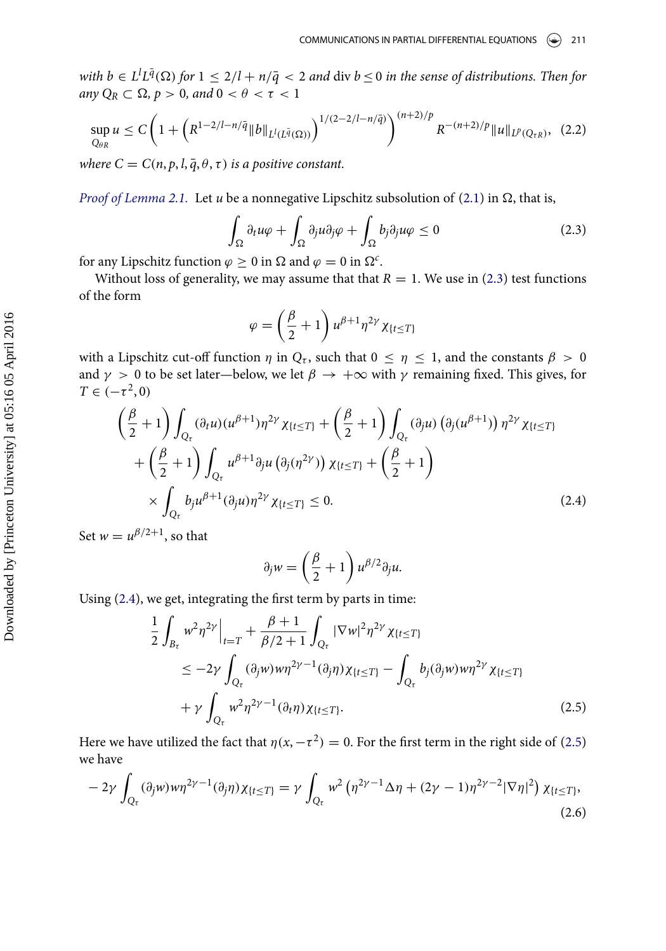with  $b \in L^l L^{\bar q}(\Omega)$  for  $1 \leq 2/l + n/{\bar q} < 2$  and  $\mathrm{div}~b \leq 0$  in the sense of distributions. Then for any  $Q_R \subset \Omega$ ,  $p > 0$ , and  $0 < \theta < \tau < 1$ 

<span id="page-4-0"></span>
$$
\sup_{Q_{\theta R}} u \le C \left( 1 + \left( R^{1 - 2/l - n/\bar{q}} \| b \|_{L^l(L^{\bar{q}}(\Omega))} \right)^{1/(2 - 2/l - n/\bar{q})} \right)^{(n+2)/p} R^{-(n+2)/p} \| u \|_{L^p(Q_{\tau R})}, \tag{2.2}
$$

where  $C = C(n, p, l, \overline{q}, \theta, \tau)$  is a positive constant.

Proof of Lemma [2.1.](#page-3-0) Let u be a nonnegative Lipschitz subsolution of [\(2.1\)](#page-3-1) in  $\Omega$ , that is,

<span id="page-4-1"></span>
$$
\int_{\Omega} \partial_t u \varphi + \int_{\Omega} \partial_j u \partial_j \varphi + \int_{\Omega} b_j \partial_j u \varphi \le 0 \tag{2.3}
$$

for any Lipschitz function  $\varphi \geq 0$  in  $\Omega$  and  $\varphi = 0$  in  $\Omega^c$ .

Without loss of generality, we may assume that that  $R = 1$ . We use in [\(2.3\)](#page-4-1) test functions of the form

$$
\varphi = \left(\frac{\beta}{2} + 1\right) u^{\beta + 1} \eta^{2\gamma} \chi_{\{t \leq T\}}
$$

with a Lipschitz cut-off function  $\eta$  in  $Q_{\tau}$ , such that  $0 \leq \eta \leq 1$ , and the constants  $\beta > 0$ and  $\gamma\,>\,0$  to be set later—below, we let  $\beta\,\rightarrow\,+\infty$  with  $\gamma$  remaining fixed. This gives, for  $T \in (-\tau^2, 0)$ 

<span id="page-4-2"></span>
$$
\begin{split}\n&\left(\frac{\beta}{2}+1\right) \int_{Q_{\tau}} (\partial_{t}u)(u^{\beta+1}) \eta^{2\gamma} \chi_{\{t \leq T\}} + \left(\frac{\beta}{2}+1\right) \int_{Q_{\tau}} (\partial_{j}u) \left(\partial_{j}(u^{\beta+1})\right) \eta^{2\gamma} \chi_{\{t \leq T\}} \\
&+ \left(\frac{\beta}{2}+1\right) \int_{Q_{\tau}} u^{\beta+1} \partial_{j}u \left(\partial_{j}(\eta^{2\gamma})\right) \chi_{\{t \leq T\}} + \left(\frac{\beta}{2}+1\right) \\
&\times \int_{Q_{\tau}} b_{j}u^{\beta+1} (\partial_{j}u) \eta^{2\gamma} \chi_{\{t \leq T\}} \leq 0.\n\end{split} \tag{2.4}
$$

Set  $w = u^{\beta/2+1}$ , so that

$$
\partial_j w = \left(\frac{\beta}{2} + 1\right) u^{\beta/2} \partial_j u.
$$

Using [\(2.4\)](#page-4-2), we get, integrating the first term by parts in time:

<span id="page-4-3"></span>
$$
\frac{1}{2} \int_{B_{\tau}} w^2 \eta^{2\gamma} \Big|_{t=T} + \frac{\beta + 1}{\beta/2 + 1} \int_{Q_{\tau}} |\nabla w|^2 \eta^{2\gamma} \chi_{\{t \le T\}} \n\le -2\gamma \int_{Q_{\tau}} (\partial_j w) w \eta^{2\gamma - 1} (\partial_j \eta) \chi_{\{t \le T\}} - \int_{Q_{\tau}} b_j (\partial_j w) w \eta^{2\gamma} \chi_{\{t \le T\}} \n+ \gamma \int_{Q_{\tau}} w^2 \eta^{2\gamma - 1} (\partial_t \eta) \chi_{\{t \le T\}}.
$$
\n(2.5)

Here we have utilized the fact that  $\eta(x, -\tau^2) = 0$ . For the first term in the right side of [\(2.5\)](#page-4-3) we have

<span id="page-4-4"></span>
$$
-2\gamma \int_{Q_{\tau}} (\partial_j w) w \eta^{2\gamma-1}(\partial_j \eta) \chi_{\{t \le T\}} = \gamma \int_{Q_{\tau}} w^2 \left( \eta^{2\gamma-1} \Delta \eta + (2\gamma - 1) \eta^{2\gamma-2} |\nabla \eta|^2 \right) \chi_{\{t \le T\}},
$$
\n(2.6)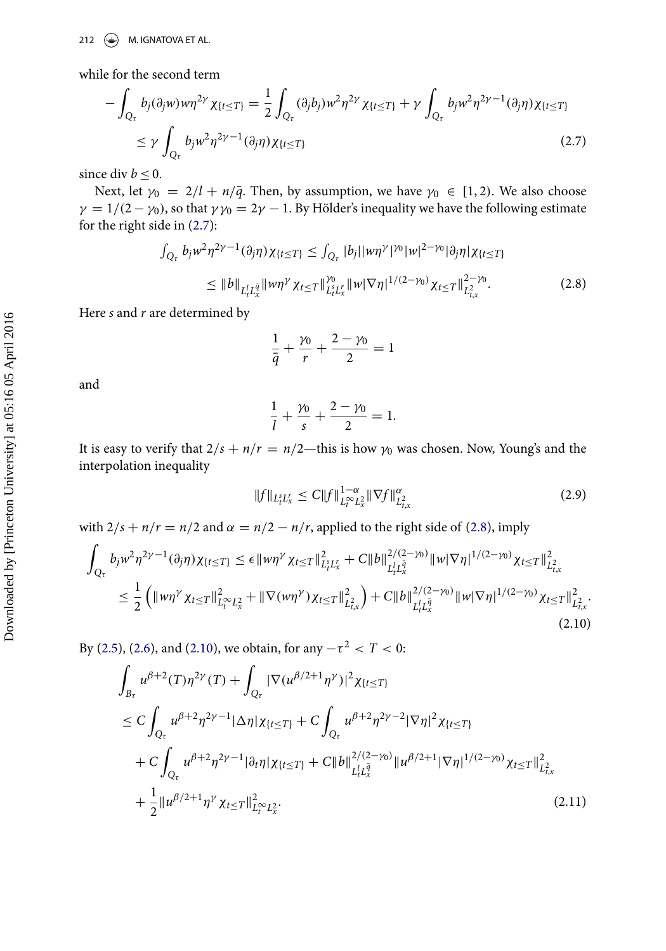while for the second term

<span id="page-5-0"></span>
$$
-\int_{Q_{\tau}} b_j(\partial_j w) w \eta^{2\gamma} \chi_{\{t \le T\}} = \frac{1}{2} \int_{Q_{\tau}} (\partial_j b_j) w^2 \eta^{2\gamma} \chi_{\{t \le T\}} + \gamma \int_{Q_{\tau}} b_j w^2 \eta^{2\gamma - 1} (\partial_j \eta) \chi_{\{t \le T\}} \le \gamma \int_{Q_{\tau}} b_j w^2 \eta^{2\gamma - 1} (\partial_j \eta) \chi_{\{t \le T\}} \tag{2.7}
$$

since div  $b \leq 0$ .

Next, let  $\gamma_0 = 2/l + n/\bar{q}$ . Then, by assumption, we have  $\gamma_0 \in [1, 2)$ . We also choose  $\gamma = 1/(2 - \gamma_0)$ , so that  $\gamma \gamma_0 = 2\gamma - 1$ . By Hölder's inequality we have the following estimate for the right side in [\(2.7\)](#page-5-0):

<span id="page-5-1"></span>
$$
\int_{Q_{\tau}} b_j w^2 \eta^{2\gamma - 1}(\partial_j \eta) \chi_{\{t \le T\}} \le \int_{Q_{\tau}} |b_j| |w \eta^{\gamma}|^{\gamma_0} |w|^{2 - \gamma_0} |\partial_j \eta| \chi_{\{t \le T\}}\le \|b\|_{L^1_t L^{\bar{q}}_x} \|w \eta^{\gamma} \chi_{t \le T} \|_{L^s_t L^r_x}^{\gamma_0} \|w \nabla \eta\|^{1/(2 - \gamma_0)} \chi_{t \le T} \|_{L^2_{t,x}}^{2 - \gamma_0}.
$$
\n(2.8)

Here  $s$  and  $r$  are determined by

$$
\frac{1}{\bar{q}} + \frac{\gamma_0}{r} + \frac{2 - \gamma_0}{2} = 1
$$

and

$$
\frac{1}{l} + \frac{\gamma_0}{s} + \frac{2 - \gamma_0}{2} = 1.
$$

It is easy to verify that  $2/s + n/r = n/2$ —this is how  $\gamma_0$  was chosen. Now, Young's and the interpolation inequality

<span id="page-5-4"></span>
$$
||f||_{L_t^s L_x^r} \le C||f||_{L_t^\infty L_x^2}^{1-\alpha} ||\nabla f||_{L_{t,x}^2}^{\alpha}
$$
\n(2.9)

with  $2/s + n/r = n/2$  and  $\alpha = n/2 - n/r$ , applied to the right side of [\(2.8\)](#page-5-1), imply

<span id="page-5-2"></span>
$$
\int_{Q_{\tau}} b_j w^2 \eta^{2\gamma - 1}(\partial_j \eta) \chi_{\{t \le T\}} \le \epsilon \|w\eta^{\gamma} \chi_{t \le T}\|_{L_t^2 L_x^r}^2 + C \|b\|_{L_t^l L_x^{\bar{q}}}^{2/(2-\gamma_0)} \|w|\nabla \eta|^{1/(2-\gamma_0)} \chi_{t \le T}\|_{L_{t,x}^2}^2
$$
\n
$$
\le \frac{1}{2} \left( \|w\eta^{\gamma} \chi_{t \le T}\|_{L_t^{\infty} L_x^2}^2 + \|\nabla(w\eta^{\gamma})\chi_{t \le T}\|_{L_{t,x}^2}^2 \right) + C \|b\|_{L_t^l L_x^{\bar{q}}}^{2/(2-\gamma_0)} \|w|\nabla \eta|^{1/(2-\gamma_0)} \chi_{t \le T}\|_{L_{t,x}^2}^2.
$$
\n(2.10)

By [\(2.5\)](#page-4-3), [\(2.6\)](#page-4-4), and [\(2.10\)](#page-5-2), we obtain, for any  $-\tau^2 < T < 0$ :

<span id="page-5-3"></span>
$$
\int_{B_{\tau}} u^{\beta+2}(T)\eta^{2\gamma}(T) + \int_{Q_{\tau}} |\nabla(u^{\beta/2+1}\eta^{\gamma})|^2 \chi_{\{t \leq T\}} \n\leq C \int_{Q_{\tau}} u^{\beta+2}\eta^{2\gamma-1} |\Delta\eta| \chi_{\{t \leq T\}} + C \int_{Q_{\tau}} u^{\beta+2}\eta^{2\gamma-2} |\nabla\eta|^2 \chi_{\{t \leq T\}} \n+ C \int_{Q_{\tau}} u^{\beta+2}\eta^{2\gamma-1} |\partial_t \eta| \chi_{\{t \leq T\}} + C \|b\|_{L_t^l L_x^{\bar{q}}}^{2/(2-\gamma_0)} \|u^{\beta/2+1} |\nabla\eta|^{1/(2-\gamma_0)} \chi_{t \leq T}\|_{L_{t,x}^2}^2 \n+ \frac{1}{2} \|u^{\beta/2+1}\eta^{\gamma} \chi_{t \leq T}\|_{L_t^{\infty} L_x^2}^2.
$$
\n(2.11)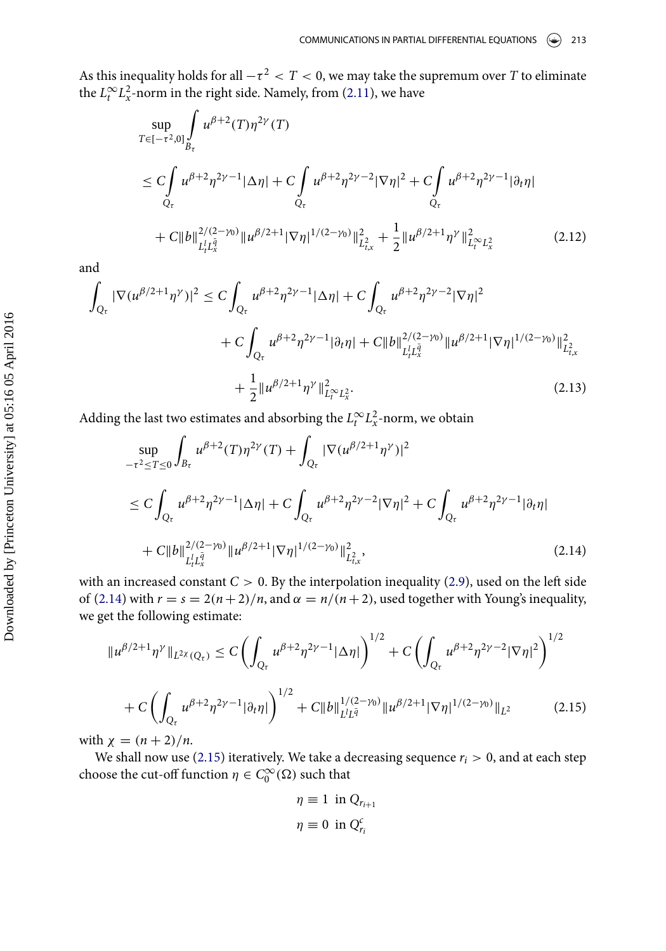As this inequality holds for all  $-\tau^2 < T <$  0, we may take the supremum over  $T$  to eliminate the  $L_t^{\infty} L_x^2$ -norm in the right side. Namely, from [\(2.11\)](#page-5-3), we have

$$
\sup_{T \in [-\tau^2, 0]} \int_{B_{\tau}} u^{\beta+2} (T) \eta^{2\gamma} (T)
$$
\n
$$
\leq C \int_{Q_{\tau}} u^{\beta+2} \eta^{2\gamma-1} |\Delta \eta| + C \int_{Q_{\tau}} u^{\beta+2} \eta^{2\gamma-2} |\nabla \eta|^{2} + C \int_{Q_{\tau}} u^{\beta+2} \eta^{2\gamma-1} |\partial_{t} \eta|
$$
\n
$$
+ C \|b\|_{L_{t}^{1} L_{x}^{\bar{q}}}^{2/(2-\gamma_{0})} \|u^{\beta/2+1} |\nabla \eta|^{1/(2-\gamma_{0})} \|_{L_{t,x}^{2}}^{2} + \frac{1}{2} \|u^{\beta/2+1} \eta^{\gamma}\|_{L_{t}^{\infty} L_{x}^{2}}^{2} \qquad (2.12)
$$

and

$$
\int_{Q_{\tau}} |\nabla (u^{\beta/2+1} \eta^{\gamma})|^2 \le C \int_{Q_{\tau}} u^{\beta+2} \eta^{2\gamma-1} |\Delta \eta| + C \int_{Q_{\tau}} u^{\beta+2} \eta^{2\gamma-2} |\nabla \eta|^2
$$
\n
$$
+ C \int_{Q_{\tau}} u^{\beta+2} \eta^{2\gamma-1} |\partial_t \eta| + C \|b\|_{L_t^l L_x^{\bar{q}}}^{2/(2-\gamma_0)} \|u^{\beta/2+1} |\nabla \eta|^{1/(2-\gamma_0)} \|_{L_{t,x}^2}^2
$$
\n
$$
+ \frac{1}{2} \|u^{\beta/2+1} \eta^{\gamma}\|_{L_t^{\infty} L_x^2}^2. \tag{2.13}
$$

Adding the last two estimates and absorbing the  $L_t^{\infty} L_x^2$ -norm, we obtain

<span id="page-6-0"></span>
$$
\sup_{-\tau^2 \le T \le 0} \int_{B_{\tau}} u^{\beta+2}(T) \eta^{2\gamma}(T) + \int_{Q_{\tau}} |\nabla (u^{\beta/2+1} \eta^{\gamma})|^2
$$
\n
$$
\le C \int_{Q_{\tau}} u^{\beta+2} \eta^{2\gamma-1} |\Delta \eta| + C \int_{Q_{\tau}} u^{\beta+2} \eta^{2\gamma-2} |\nabla \eta|^2 + C \int_{Q_{\tau}} u^{\beta+2} \eta^{2\gamma-1} |\partial_t \eta|
$$
\n
$$
+ C \|b\|_{L_t^l L_x^{\bar{q}}}^{2/(2-\gamma_0)} \|u^{\beta/2+1} |\nabla \eta|^{1/(2-\gamma_0)} \|_{L_{t,x}^2}^2, \tag{2.14}
$$

with an increased constant  $C > 0$ . By the interpolation inequality [\(2.9\)](#page-5-4), used on the left side of [\(2.14\)](#page-6-0) with  $r = s = 2(n+2)/n$ , and  $\alpha = n/(n+2)$ , used together with Young's inequality, we get the following estimate:

<span id="page-6-1"></span>
$$
\|u^{\beta/2+1}\eta^{\gamma}\|_{L^{2\chi}(Q_{\tau})} \leq C \left( \int_{Q_{\tau}} u^{\beta+2}\eta^{2\gamma-1} |\Delta \eta| \right)^{1/2} + C \left( \int_{Q_{\tau}} u^{\beta+2}\eta^{2\gamma-2} |\nabla \eta|^{2} \right)^{1/2} + C \left( \int_{Q_{\tau}} u^{\beta+2}\eta^{2\gamma-1} |\partial_t \eta| \right)^{1/2} + C \|b\|_{L^1 L^{\bar{q}}}^{1/(2-\gamma_0)} \|u^{\beta/2+1} |\nabla \eta|^{1/(2-\gamma_0)} \|_{L^2}
$$
(2.15)

with  $\chi = (n+2)/n$ .

We shall now use [\(2.15\)](#page-6-1) iteratively. We take a decreasing sequence  $r_i > 0$ , and at each step choose the cut-off function  $\eta \in C_0^{\infty}(\Omega)$  such that

$$
\eta \equiv 1 \text{ in } Q_{r_{i+1}}
$$

$$
\eta \equiv 0 \text{ in } Q_{r_i}^c
$$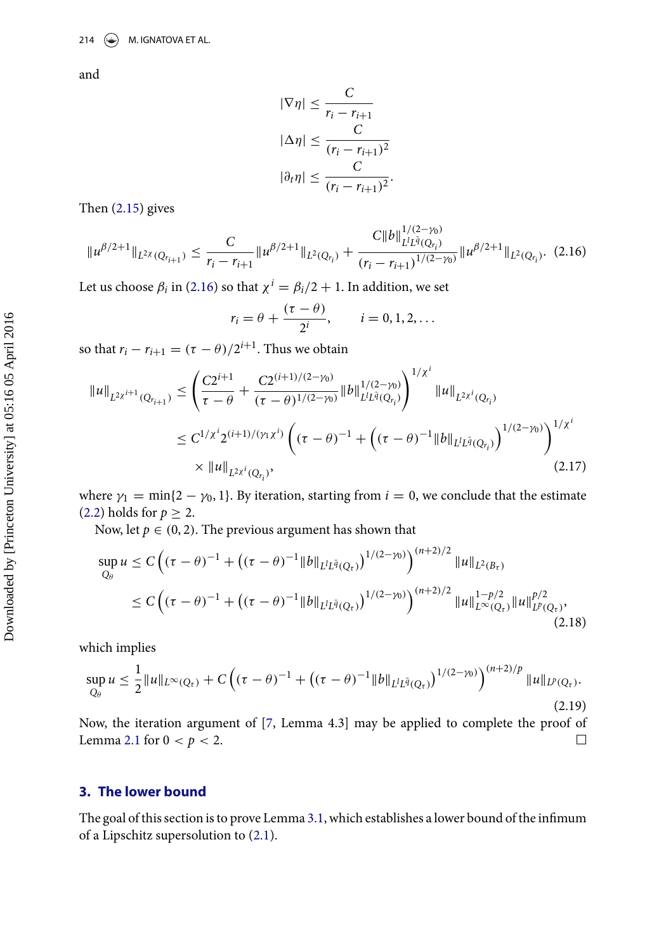and

$$
|\nabla \eta| \leq \frac{C}{r_i - r_{i+1}}
$$
  
\n
$$
|\Delta \eta| \leq \frac{C}{(r_i - r_{i+1})^2}
$$
  
\n
$$
|\partial_t \eta| \leq \frac{C}{(r_i - r_{i+1})^2}.
$$

Then [\(2.15\)](#page-6-1) gives

<span id="page-7-0"></span>
$$
||u^{\beta/2+1}||_{L^{2\chi}(Q_{r_{i+1}})} \leq \frac{C}{r_i - r_{i+1}}||u^{\beta/2+1}||_{L^{2}(Q_{r_i})} + \frac{C||b||_{L^{1/\bar{2}}(Q_{r_i})}^{1/(2-\gamma_0)}}{(r_i - r_{i+1})^{1/(2-\gamma_0)}}||u^{\beta/2+1}||_{L^{2}(Q_{r_i})}. \tag{2.16}
$$

Let us choose  $\beta_i$  in [\(2.16\)](#page-7-0) so that  $\chi^i = \beta_i/2 + 1$ . In addition, we set

$$
r_i = \theta + \frac{(\tau - \theta)}{2^i}, \qquad i = 0, 1, 2, \dots
$$

so that  $r_i - r_{i+1} = (\tau - \theta)/2^{i+1}$ . Thus we obtain

$$
\|u\|_{L^{2\chi^{i+1}}(Q_{r_{i+1}})} \leq \left(\frac{C2^{i+1}}{\tau-\theta} + \frac{C2^{(i+1)/(2-\gamma_0)}}{(\tau-\theta)^{1/(2-\gamma_0)}} \|b\|_{L^l L^{\bar{q}}(Q_{r_i})}^{1/(2-\gamma_0)}\right)^{1/\chi^i} \|u\|_{L^{2\chi^i}(Q_{r_i})}
$$
  

$$
\leq C^{1/\chi^i} 2^{(i+1)/(\gamma_1\chi^i)} \left((\tau-\theta)^{-1} + ((\tau-\theta)^{-1} \|b\|_{L^l L^{\bar{q}}(Q_{r_i})})\right)^{1/(2-\gamma_0)}\right)^{1/\chi^i}
$$
  

$$
\times \|u\|_{L^{2\chi^i}(Q_{r_i})},
$$
\n(2.17)

where  $\gamma_1 = \min\{2 - \gamma_0, 1\}$ . By iteration, starting from  $i = 0$ , we conclude that the estimate [\(2.2\)](#page-4-0) holds for  $p \geq 2$ .

Now, let  $p \in (0, 2)$ . The previous argument has shown that

$$
\sup_{Q_{\theta}} u \le C \left( (\tau - \theta)^{-1} + \left( (\tau - \theta)^{-1} \|b\|_{L^l L^{\bar{q}}(Q_{\tau})} \right)^{1/(2-\gamma_0)} \right)^{(n+2)/2} \|u\|_{L^2(B_{\tau})} \n\le C \left( (\tau - \theta)^{-1} + \left( (\tau - \theta)^{-1} \|b\|_{L^l L^{\bar{q}}(Q_{\tau})} \right)^{1/(2-\gamma_0)} \right)^{(n+2)/2} \|u\|_{L^{\infty}(Q_{\tau})}^{1-p/2} \|u\|_{L^p(Q_{\tau})}^{p/2},
$$
\n(2.18)

which implies

$$
\sup_{Q_{\theta}} u \leq \frac{1}{2} \|u\|_{L^{\infty}(Q_{\tau})} + C \left( (\tau - \theta)^{-1} + \left( (\tau - \theta)^{-1} \|b\|_{L^{1} L^{\bar{q}}(Q_{\tau})} \right)^{1/(2-\gamma_0)} \right)^{(n+2)/p} \|u\|_{L^{p}(Q_{\tau})}.
$$
\n(2.19)

Now, the iteration argument of [\[7,](#page-19-19) Lemma 4.3] may be applied to complete the proof of Lemma [2.1](#page-3-0) for  $0 < p < 2$ .  $\Box$ 

### **3. The lower bound**

The goal of this section is to prove Lemma [3.1,](#page-8-0) which establishes a lower bound of the infimum of a Lipschitz supersolution to [\(2.1\)](#page-3-1).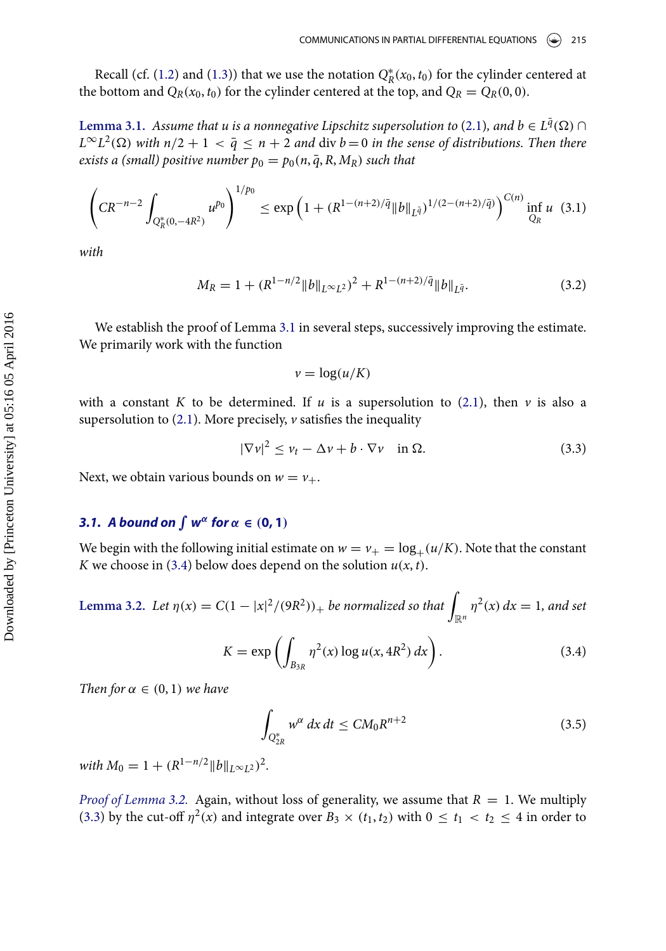<span id="page-8-0"></span>Recall (cf. [\(1.2\)](#page-1-3) and [\(1.3\)](#page-2-2)) that we use the notation  $Q_R^*(x_0, t_0)$  for the cylinder centered at the bottom and  $Q_R(x_0, t_0)$  for the cylinder centered at the top, and  $Q_R = Q_R(0, 0)$ .

Lemma 3.1. Assume that u is a nonnegative Lipschitz supersolution to [\(2.1\)](#page-3-1), and  $b\in L^{\bar q}(\Omega)$   $\cap$  $L^{\infty}L^2(\Omega)$  with  $n/2+1\,<\,\bar{q}\,\le\, n+2$  and  $\mathrm{div}\ b=0$  in the sense of distributions. Then there exists a (small) positive number  $p_0 = p_0(n, \overline{q}, R, M_R)$  such that

<span id="page-8-5"></span>
$$
\left(CR^{-n-2}\int_{Q_R^*(0,-4R^2)}u^{p_0}\right)^{1/p_0}\leq \exp\left(1+(R^{1-(n+2)/\bar{q}}\|b\|_{L^{\bar{q}}})^{1/(2-(n+2)/\bar{q})}\right)^{C(n)}\inf_{Q_R}u\tag{3.1}
$$

with

<span id="page-8-6"></span>
$$
M_R = 1 + (R^{1 - n/2} \|b\|_{L^{\infty}L^2})^2 + R^{1 - (n+2)/\bar{q}} \|b\|_{L^{\bar{q}}}.
$$
\n(3.2)

We establish the proof of Lemma [3.1](#page-8-0) in several steps, successively improving the estimate. We primarily work with the function

 $v = \log(u/K)$ 

with a constant K to be determined. If u is a supersolution to [\(2.1\)](#page-3-1), then v is also a supersolution to [\(2.1\)](#page-3-1). More precisely,  $\nu$  satisfies the inequality

<span id="page-8-3"></span>
$$
|\nabla v|^2 \le v_t - \Delta v + b \cdot \nabla v \quad \text{in } \Omega. \tag{3.3}
$$

Next, we obtain various bounds on  $w = v_+$ .

## **3.1.** A bound on  $\int w^{\alpha}$  for  $\alpha \in (0, 1)$

<span id="page-8-1"></span>We begin with the following initial estimate on  $w = v_{+} = \log_+(u/K)$ . Note that the constant K we choose in [\(3.4\)](#page-8-2) below does depend on the solution  $u(x, t)$ .

**Lemma 3.2.** Let  $\eta(x) = C(1 - |x|^2/(9R^2))_+$  be normalized so that  $\int_{\mathbb{R}^n} \eta^2(x) dx = 1$ , and set

<span id="page-8-2"></span>
$$
K = \exp\left(\int_{B_{3R}} \eta^2(x) \log u(x, 4R^2) \, dx\right). \tag{3.4}
$$

Then for  $\alpha \in (0,1)$  we have

<span id="page-8-4"></span>
$$
\int_{Q_{2R}^*} w^{\alpha} dx dt \le CM_0 R^{n+2}
$$
\n(3.5)

with  $M_0 = 1 + (R^{1-n/2} ||b||_{L^\infty L^2})^2$ .

*Proof of Lemma [3.2.](#page-8-1)* Again, without loss of generality, we assume that  $R = 1$ . We multiply [\(3.3\)](#page-8-3) by the cut-off  $\eta^2(x)$  and integrate over  $B_3 \times (t_1, t_2)$  with  $0 \le t_1 < t_2 \le 4$  in order to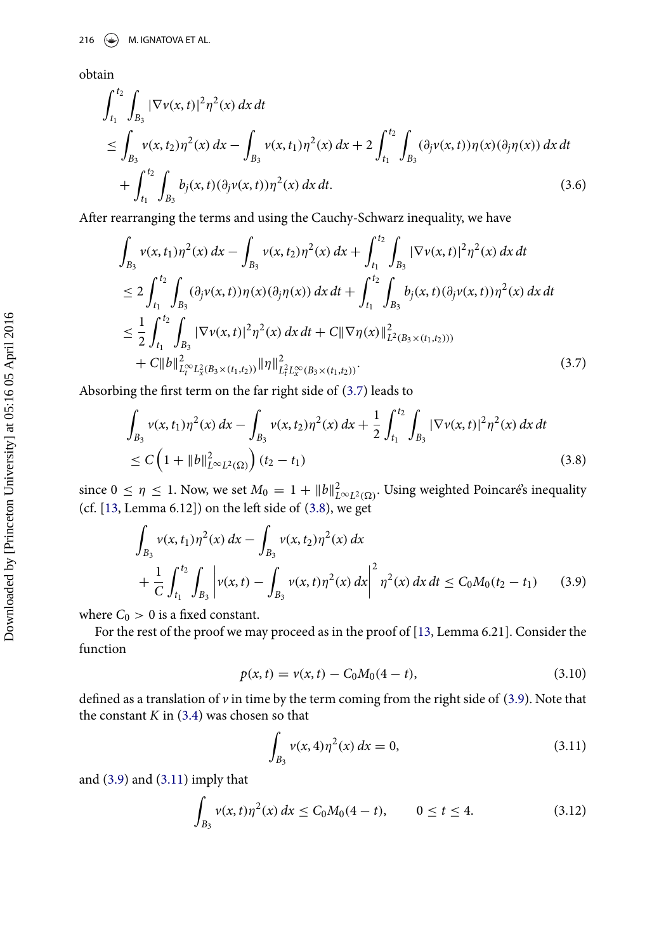obtain

$$
\int_{t_1}^{t_2} \int_{B_3} |\nabla v(x, t)|^2 \eta^2(x) dx dt
$$
\n
$$
\leq \int_{B_3} v(x, t_2) \eta^2(x) dx - \int_{B_3} v(x, t_1) \eta^2(x) dx + 2 \int_{t_1}^{t_2} \int_{B_3} (\partial_j v(x, t)) \eta(x) (\partial_j \eta(x)) dx dt
$$
\n
$$
+ \int_{t_1}^{t_2} \int_{B_3} b_j(x, t) (\partial_j v(x, t)) \eta^2(x) dx dt.
$$
\n(3.6)

After rearranging the terms and using the Cauchy-Schwarz inequality, we have

<span id="page-9-0"></span>
$$
\int_{B_3} v(x, t_1) \eta^2(x) dx - \int_{B_3} v(x, t_2) \eta^2(x) dx + \int_{t_1}^{t_2} \int_{B_3} |\nabla v(x, t)|^2 \eta^2(x) dx dt \n\leq 2 \int_{t_1}^{t_2} \int_{B_3} (\partial_j v(x, t)) \eta(x) (\partial_j \eta(x)) dx dt + \int_{t_1}^{t_2} \int_{B_3} b_j(x, t) (\partial_j v(x, t)) \eta^2(x) dx dt \n\leq \frac{1}{2} \int_{t_1}^{t_2} \int_{B_3} |\nabla v(x, t)|^2 \eta^2(x) dx dt + C ||\nabla \eta(x)||^2_{L^2(B_3 \times (t_1, t_2)))} + C ||b||^2_{L_t^{\infty} L_x^2(B_3 \times (t_1, t_2))} ||\eta||^2_{L_t^2 L_x^{\infty}(B_3 \times (t_1, t_2))}.
$$
\n(3.7)

Absorbing the first term on the far right side of [\(3.7\)](#page-9-0) leads to

<span id="page-9-1"></span>
$$
\int_{B_3} v(x, t_1) \eta^2(x) dx - \int_{B_3} v(x, t_2) \eta^2(x) dx + \frac{1}{2} \int_{t_1}^{t_2} \int_{B_3} |\nabla v(x, t)|^2 \eta^2(x) dx dt
$$
\n
$$
\leq C \left( 1 + \|b\|_{L^{\infty} L^2(\Omega)}^2 \right) (t_2 - t_1) \tag{3.8}
$$

since  $0 \le \eta \le 1$ . Now, we set  $M_0 = 1 + ||b||^2_{L^{\infty}L^2(\Omega)}$ . Using weighted Poincaré's inequality (cf.  $[13, \text{Lemma 6.12}]$ ) on the left side of  $(3.8)$ , we get

<span id="page-9-2"></span>
$$
\int_{B_3} v(x, t_1) \eta^2(x) dx - \int_{B_3} v(x, t_2) \eta^2(x) dx \n+ \frac{1}{C} \int_{t_1}^{t_2} \int_{B_3} \left| v(x, t) - \int_{B_3} v(x, t) \eta^2(x) dx \right|^2 \eta^2(x) dx dt \le C_0 M_0 (t_2 - t_1)
$$
\n(3.9)

where  $C_0 > 0$  is a fixed constant.

For the rest of the proof we may proceed as in the proof of [\[13,](#page-19-15) Lemma 6.21]. Consider the function

$$
p(x,t) = v(x,t) - C_0 M_0 (4-t),
$$
\n(3.10)

defined as a translation of  $\nu$  in time by the term coming from the right side of [\(3.9\)](#page-9-2). Note that the constant  $K$  in  $(3.4)$  was chosen so that

<span id="page-9-3"></span>
$$
\int_{B_3} v(x, 4)\eta^2(x) dx = 0,
$$
\n(3.11)

and [\(3.9\)](#page-9-2) and [\(3.11\)](#page-9-3) imply that

<span id="page-9-4"></span>
$$
\int_{B_3} v(x, t) \eta^2(x) dx \le C_0 M_0 (4 - t), \qquad 0 \le t \le 4.
$$
\n(3.12)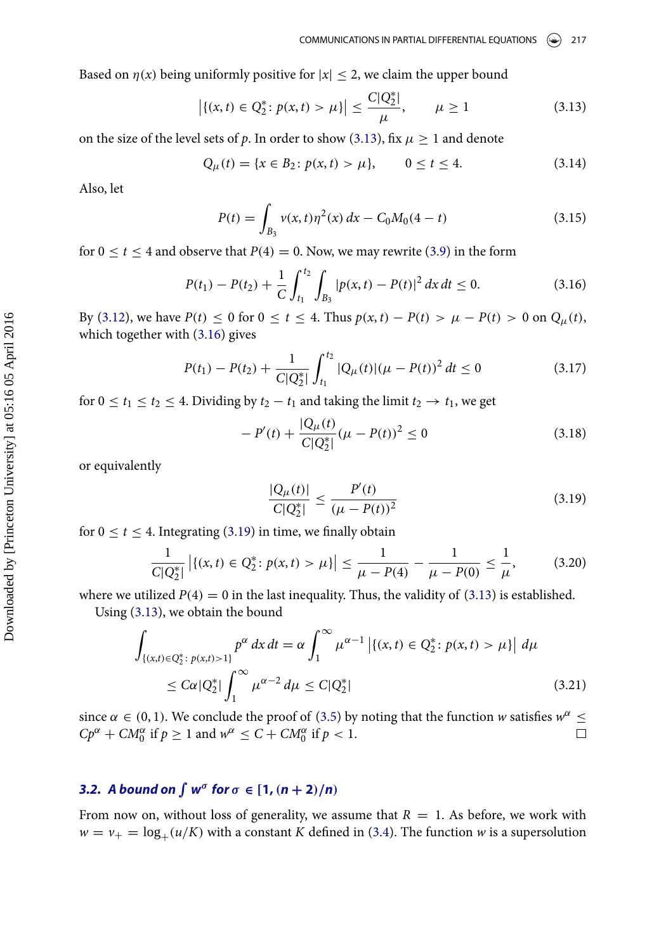Based on  $\eta(x)$  being uniformly positive for  $|x| \leq 2$ , we claim the upper bound

<span id="page-10-0"></span>
$$
\left| \{ (x,t) \in Q_2^* \colon p(x,t) > \mu \} \right| \le \frac{C|Q_2^*|}{\mu}, \qquad \mu \ge 1 \tag{3.13}
$$

on the size of the level sets of  $p.$  In order to show [\(3.13\)](#page-10-0), fix  $\mu \geq 1$  and denote

$$
Q_{\mu}(t) = \{x \in B_2 : p(x, t) > \mu\}, \qquad 0 \le t \le 4. \tag{3.14}
$$

Also, let

$$
P(t) = \int_{B_3} v(x, t) \eta^2(x) dx - C_0 M_0 (4 - t)
$$
\n(3.15)

for  $0 \le t \le 4$  and observe that  $P(4) = 0$ . Now, we may rewrite [\(3.9\)](#page-9-2) in the form

<span id="page-10-1"></span>
$$
P(t_1) - P(t_2) + \frac{1}{C} \int_{t_1}^{t_2} \int_{B_3} |p(x, t) - P(t)|^2 dx dt \le 0.
$$
 (3.16)

By [\(3.12\)](#page-9-4), we have  $P(t) \le 0$  for  $0 \le t \le 4$ . Thus  $p(x, t) - P(t) > \mu - P(t) > 0$  on  $Q_{\mu}(t)$ , which together with [\(3.16\)](#page-10-1) gives

$$
P(t_1) - P(t_2) + \frac{1}{C|Q_2^*|} \int_{t_1}^{t_2} |Q_\mu(t)| (\mu - P(t))^2 dt \le 0
$$
 (3.17)

for  $0 \le t_1 \le t_2 \le 4$ . Dividing by  $t_2 - t_1$  and taking the limit  $t_2 \to t_1$ , we get

$$
-P'(t) + \frac{|Q_{\mu}(t)|}{C|Q_2^*|}(\mu - P(t))^2 \le 0
$$
\n(3.18)

or equivalently

<span id="page-10-2"></span>
$$
\frac{|Q_{\mu}(t)|}{C|Q_2^*|} \le \frac{P'(t)}{(\mu - P(t))^2} \tag{3.19}
$$

for  $0 \le t \le 4$ . Integrating [\(3.19\)](#page-10-2) in time, we finally obtain

$$
\frac{1}{C|Q_2^*|} | \{ (x,t) \in Q_2^* \colon p(x,t) > \mu \} | \le \frac{1}{\mu - P(4)} - \frac{1}{\mu - P(0)} \le \frac{1}{\mu}, \tag{3.20}
$$

where we utilized  $P(4) = 0$  in the last inequality. Thus, the validity of [\(3.13\)](#page-10-0) is established.

Using [\(3.13\)](#page-10-0), we obtain the bound

$$
\int_{\{(x,t)\in Q_2^*:\ p(x,t)>1\}} p^{\alpha} dx dt = \alpha \int_1^{\infty} \mu^{\alpha-1} \left| \{(x,t)\in Q_2^*:\ p(x,t) > \mu \} \right| d\mu
$$
\n
$$
\leq C\alpha |Q_2^*| \int_1^{\infty} \mu^{\alpha-2} d\mu \leq C |Q_2^*| \tag{3.21}
$$

since  $\alpha \in (0, 1)$ . We conclude the proof of [\(3.5\)](#page-8-4) by noting that the function w satisfies  $w^{\alpha} \leq$  $Cp^{\alpha} + CM_0^{\alpha}$  if  $p \ge 1$  and  $w^{\alpha} \le C + CM_0^{\alpha}$  if  $p < 1$ .  $\Box$ 

## **3.2.** A bound on  $\int w^{\sigma}$  for  $\sigma \in [1, (n+2)/n)$

From now on, without loss of generality, we assume that  $R = 1$ . As before, we work with  $w = v_+ = \log_+ (u/K)$  with a constant K defined in [\(3.4\)](#page-8-2). The function w is a supersolution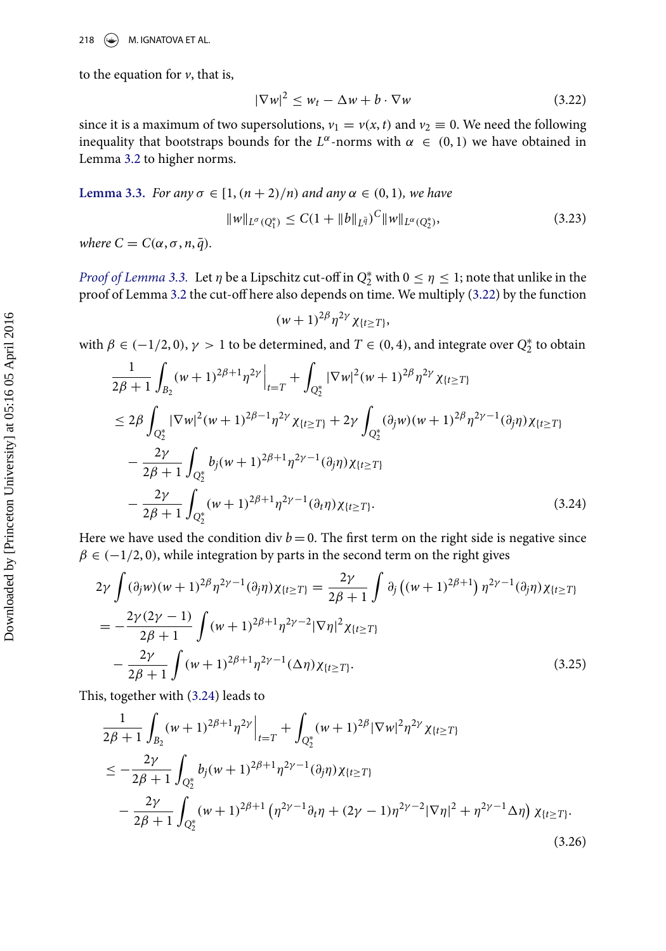to the equation for  $\nu$ , that is,

<span id="page-11-1"></span>
$$
|\nabla w|^2 \le w_t - \Delta w + b \cdot \nabla w \tag{3.22}
$$

since it is a maximum of two supersolutions,  $v_1 = v(x, t)$  and  $v_2 \equiv 0$ . We need the following inequality that bootstraps bounds for the  $L^{\alpha}$ -norms with  $\alpha \in (0,1)$  we have obtained in Lemma [3.2](#page-8-1) to higher norms.

<span id="page-11-0"></span>Lemma 3.3. For any 
$$
\sigma \in [1, (n+2)/n)
$$
 and any  $\alpha \in (0, 1)$ , we have  
\n
$$
||w||_{L^{\sigma}(Q_1^*)} \leq C(1 + ||b||_{L^{\bar{q}}})^C ||w||_{L^{\alpha}(Q_2^*)},
$$
\n(3.23)

where  $C = C(\alpha, \sigma, n, \bar{q}).$ 

*Proof of Lemma [3.3.](#page-11-0)* Let  $\eta$  be a Lipschitz cut-off in  $Q_2^*$  with  $0 \le \eta \le 1$ ; note that unlike in the proof of Lemma [3.2](#page-8-1) the cut-off here also depends on time. We multiply [\(3.22\)](#page-11-1) by the function

<span id="page-11-4"></span>
$$
(w+1)^{2\beta}\eta^{2\gamma}\chi_{\{t\geq T\}},
$$

with  $\beta \in (-1/2, 0)$ ,  $\gamma > 1$  to be determined, and  $T \in (0, 4)$ , and integrate over  $Q_2^*$  to obtain

<span id="page-11-2"></span>
$$
\frac{1}{2\beta+1} \int_{B_2} (w+1)^{2\beta+1} \eta^{2\gamma} \Big|_{t=T} + \int_{Q_2^*} |\nabla w|^2 (w+1)^{2\beta} \eta^{2\gamma} \chi_{\{t \ge T\}} \n\le 2\beta \int_{Q_2^*} |\nabla w|^2 (w+1)^{2\beta-1} \eta^{2\gamma} \chi_{\{t \ge T\}} + 2\gamma \int_{Q_2^*} (\partial_j w)(w+1)^{2\beta} \eta^{2\gamma-1} (\partial_j \eta) \chi_{\{t \ge T\}} \n- \frac{2\gamma}{2\beta+1} \int_{Q_2^*} b_j (w+1)^{2\beta+1} \eta^{2\gamma-1} (\partial_j \eta) \chi_{\{t \ge T\}} \n- \frac{2\gamma}{2\beta+1} \int_{Q_2^*} (w+1)^{2\beta+1} \eta^{2\gamma-1} (\partial_t \eta) \chi_{\{t \ge T\}}.
$$
\n(3.24)

Here we have used the condition div  $b$  = 0. The first term on the right side is negative since  $\beta \in (-1/2, 0)$ , while integration by parts in the second term on the right gives

$$
2\gamma \int (\partial_j w)(w+1)^{2\beta} \eta^{2\gamma-1}(\partial_j \eta) \chi_{\{t \geq T\}} = \frac{2\gamma}{2\beta+1} \int \partial_j ((w+1)^{2\beta+1}) \eta^{2\gamma-1}(\partial_j \eta) \chi_{\{t \geq T\}}
$$
  
= 
$$
-\frac{2\gamma(2\gamma-1)}{2\beta+1} \int (w+1)^{2\beta+1} \eta^{2\gamma-2} |\nabla \eta|^2 \chi_{\{t \geq T\}}
$$
  

$$
-\frac{2\gamma}{2\beta+1} \int (w+1)^{2\beta+1} \eta^{2\gamma-1}(\Delta \eta) \chi_{\{t \geq T\}}.
$$
 (3.25)

This, together with [\(3.24\)](#page-11-2) leads to

<span id="page-11-3"></span>
$$
\frac{1}{2\beta+1} \int_{B_2} (w+1)^{2\beta+1} \eta^{2\gamma} \Big|_{t=T} + \int_{Q_2^*} (w+1)^{2\beta} |\nabla w|^2 \eta^{2\gamma} \chi_{\{t \ge T\}}\n\le -\frac{2\gamma}{2\beta+1} \int_{Q_2^*} b_j (w+1)^{2\beta+1} \eta^{2\gamma-1} (\partial_j \eta) \chi_{\{t \ge T\}}\n- \frac{2\gamma}{2\beta+1} \int_{Q_2^*} (w+1)^{2\beta+1} \left( \eta^{2\gamma-1} \partial_t \eta + (2\gamma-1) \eta^{2\gamma-2} |\nabla \eta|^2 + \eta^{2\gamma-1} \Delta \eta \right) \chi_{\{t \ge T\}}.
$$
\n(3.26)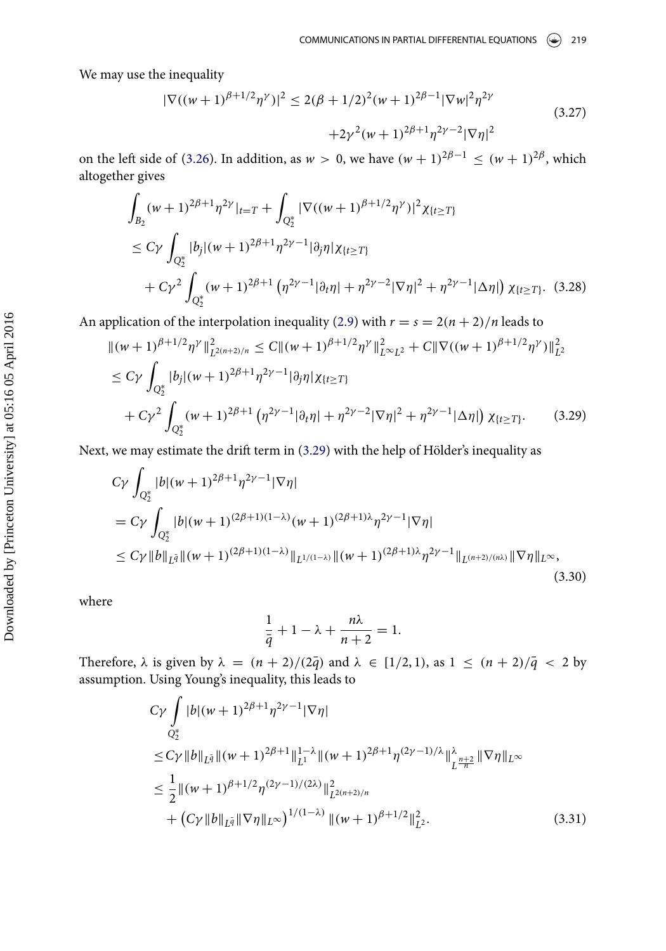We may use the inequality

$$
|\nabla((w+1)^{\beta+1/2}\eta^{\gamma})|^2 \le 2(\beta+1/2)^2(w+1)^{2\beta-1}|\nabla w|^2\eta^{2\gamma} +2\gamma^2(w+1)^{2\beta+1}\eta^{2\gamma-2}|\nabla \eta|^2
$$
\n(3.27)

on the left side of [\(3.26\)](#page-11-3). In addition, as  $w > 0$ , we have  $(w + 1)^{2\beta - 1} \leq (w + 1)^{2\beta}$ , which altogether gives

$$
\int_{B_2} (w+1)^{2\beta+1} \eta^{2\gamma} |_{t=T} + \int_{Q_2^*} |\nabla((w+1)^{\beta+1/2} \eta^{\gamma})|^2 \chi_{\{t \ge T\}} \n\le C\gamma \int_{Q_2^*} |b_j| (w+1)^{2\beta+1} \eta^{2\gamma-1} |\partial_j \eta| \chi_{\{t \ge T\}} \n+ C\gamma^2 \int_{Q_2^*} (w+1)^{2\beta+1} \left(\eta^{2\gamma-1} |\partial_t \eta| + \eta^{2\gamma-2} |\nabla \eta|^2 + \eta^{2\gamma-1} |\Delta \eta| \right) \chi_{\{t \ge T\}}. (3.28)
$$

An application of the interpolation inequality [\(2.9\)](#page-5-4) with  $r = s = 2(n + 2)/n$  leads to

<span id="page-12-0"></span>
$$
\| (w+1)^{\beta+1/2} \eta^{\gamma} \|_{L^{2(n+2)/n}}^2 \le C \| (w+1)^{\beta+1/2} \eta^{\gamma} \|_{L^{\infty}L^2}^2 + C \| \nabla ((w+1)^{\beta+1/2} \eta^{\gamma}) \|_{L^2}^2
$$
  
\n
$$
\le C \gamma \int_{Q_2^*} |b_j| (w+1)^{2\beta+1} \eta^{2\gamma-1} |\partial_j \eta| \chi_{\{t \ge T\}}
$$
  
\n
$$
+ C \gamma^2 \int_{Q_2^*} (w+1)^{2\beta+1} \left( \eta^{2\gamma-1} |\partial_t \eta| + \eta^{2\gamma-2} |\nabla \eta|^2 + \eta^{2\gamma-1} |\Delta \eta| \right) \chi_{\{t \ge T\}}.
$$
 (3.29)

Next, we may estimate the drift term in  $(3.29)$  with the help of Hölder's inequality as

<span id="page-12-2"></span>
$$
C\gamma \int_{Q_2^*} |b|(w+1)^{2\beta+1} \eta^{2\gamma-1} |\nabla \eta|
$$
  
=  $C\gamma \int_{Q_2^*} |b|(w+1)^{(2\beta+1)(1-\lambda)} (w+1)^{(2\beta+1)\lambda} \eta^{2\gamma-1} |\nabla \eta|$   
 $\le C\gamma ||b||_{L^{\bar{q}}} ||(w+1)^{(2\beta+1)(1-\lambda)} ||_{L^{1/(1-\lambda)}} ||(w+1)^{(2\beta+1)\lambda} \eta^{2\gamma-1} ||_{L^{(n+2)/(n\lambda)}} ||\nabla \eta||_{L^{\infty}},$  (3.30)

where

$$
\frac{1}{\overline{q}} + 1 - \lambda + \frac{n\lambda}{n+2} = 1.
$$

Therefore,  $\lambda$  is given by  $\lambda = (n + 2)/(2\overline{q})$  and  $\lambda \in [1/2, 1)$ , as  $1 \leq (n + 2)/\overline{q} < 2$  by assumption. Using Young's inequality, this leads to

<span id="page-12-1"></span>
$$
C\gamma \int_{Q_2^*} |b|(w+1)^{2\beta+1} \eta^{2\gamma-1} |\nabla \eta|
$$
  
\n
$$
\leq C\gamma \|b\|_{L^{\bar{q}}} \|(w+1)^{2\beta+1}\|_{L^1}^{1-\lambda} \|(w+1)^{2\beta+1} \eta^{(2\gamma-1)/\lambda} \|^{\lambda}_{L^{\frac{n+2}{n}}} \|\nabla \eta\|_{L^\infty}
$$
  
\n
$$
\leq \frac{1}{2} \|(w+1)^{\beta+1/2} \eta^{(2\gamma-1)/(2\lambda)} \|_{L^{2(n+2)/n}}^2
$$
  
\n
$$
+ (C\gamma \|b\|_{L^{\bar{q}}} \|\nabla \eta\|_{L^\infty})^{1/(1-\lambda)} \|(w+1)^{\beta+1/2}\|_{L^2}^2.
$$
\n(3.31)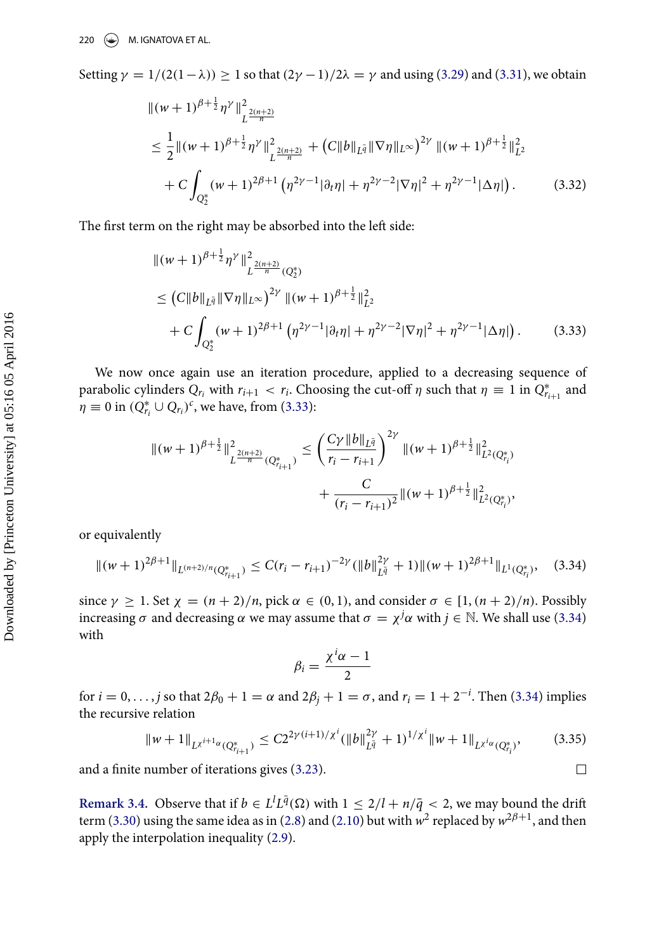Setting  $\gamma = 1/(2(1-\lambda)) \ge 1$  so that  $(2\gamma - 1)/2\lambda = \gamma$  and using [\(3.29\)](#page-12-0) and [\(3.31\)](#page-12-1), we obtain

$$
\begin{split} &\| (w+1)^{\beta+\frac{1}{2}} \eta^{\gamma} \|_{L^{\frac{2(n+2)}{n}}}^{2} \\ &\leq \frac{1}{2} \| (w+1)^{\beta+\frac{1}{2}} \eta^{\gamma} \|_{L^{\frac{2(n+2)}{n}}}^{2} + \left( C \| b \|_{L^{\bar{q}}} \| \nabla \eta \|_{L^{\infty}} \right)^{2\gamma} \| (w+1)^{\beta+\frac{1}{2}} \|_{L^{2}}^{2} \\ &+ C \int_{Q_{2}^{*}} (w+1)^{2\beta+1} \left( \eta^{2\gamma-1} |\partial_{t}\eta| + \eta^{2\gamma-2} |\nabla \eta|^{2} + \eta^{2\gamma-1} |\Delta \eta| \right). \end{split} \tag{3.32}
$$

The first term on the right may be absorbed into the left side:

<span id="page-13-0"></span>
$$
\begin{split} &\| (w+1)^{\beta+\frac{1}{2}} \eta^{\gamma} \|_{L^{\frac{2(n+2)}{n}}(Q_2^*)}^2 \\ &\leq \left( C \|b\|_{L^{\bar{q}}} \|\nabla \eta\|_{L^{\infty}} \right)^{2\gamma} \| (w+1)^{\beta+\frac{1}{2}} \|_{L^2}^2 \\ &\quad + C \int_{Q_2^*} (w+1)^{2\beta+1} \left( \eta^{2\gamma-1} |\partial_t \eta| + \eta^{2\gamma-2} |\nabla \eta|^2 + \eta^{2\gamma-1} |\Delta \eta| \right). \end{split} \tag{3.33}
$$

We now once again use an iteration procedure, applied to a decreasing sequence of parabolic cylinders  $Q_{r_i}$  with  $r_{i+1} < r_i$ . Choosing the cut-off  $\eta$  such that  $\eta \equiv 1$  in  $Q_{r_{i+1}}^*$  and  $\eta \equiv 0$  in  $(Q_{r_i}^* \cup Q_{r_i})^c$ , we have, from [\(3.33\)](#page-13-0):

$$
\begin{aligned} \|(w+1)^{\beta+\frac{1}{2}}\|_{L^{\frac{2(n+2)}{n}}(Q^*_{r_{i+1}})}^2 &\leq \left(\frac{C\gamma\|b\|_{L^{\bar{q}}}}{r_i-r_{i+1}}\right)^{2\gamma}\|(w+1)^{\beta+\frac{1}{2}}\|_{L^2(Q^*_{r_i})}^2 \\ &\qquad\qquad + \frac{C}{(r_i-r_{i+1})^2}\|(w+1)^{\beta+\frac{1}{2}}\|_{L^2(Q^*_{r_i})}^2, \end{aligned}
$$

or equivalently

<span id="page-13-1"></span>
$$
\|(w+1)^{2\beta+1}\|_{L^{(n+2)/n}(Q^*_{r_{i+1}})} \leq C(r_i-r_{i+1})^{-2\gamma} (\|b\|_{L^{\bar{q}}}^{2\gamma}+1) \|(w+1)^{2\beta+1}\|_{L^1(Q^*_{r_i})},\quad (3.34)
$$

since  $\gamma \ge 1$ . Set  $\chi = (n + 2)/n$ , pick  $\alpha \in (0, 1)$ , and consider  $\sigma \in [1, (n + 2)/n)$ . Possibly increasing  $\sigma$  and decreasing  $\alpha$  we may assume that  $\sigma = \chi^j \alpha$  with  $j \in \mathbb{N}$ . We shall use [\(3.34\)](#page-13-1) with

$$
\beta_i = \frac{\chi^i \alpha - 1}{2}
$$

for  $i = 0, \ldots, j$  so that  $2\beta_0 + 1 = \alpha$  and  $2\beta_j + 1 = \sigma$ , and  $r_i = 1 + 2^{-i}$ . Then [\(3.34\)](#page-13-1) implies the recursive relation

$$
\|w+1\|_{L^{\chi^{i+1}\alpha}(Q^*_{r_{i+1}})} \leq C2^{2\gamma(i+1)/\chi^i} (\|b\|_{L^{\bar{q}}}^{2\gamma}+1)^{1/\chi^i} \|w+1\|_{L^{\chi^i\alpha}(Q^*_{r_i})},\tag{3.35}
$$

 $\Box$ 

and a finite number of iterations gives [\(3.23\)](#page-11-4).

**Remark 3.4.** Observe that if  $b \in L^l L^{\bar{q}}(\Omega)$  with  $1 \leq 2/l + n/\bar{q} < 2$ , we may bound the drift term [\(3.30\)](#page-12-2) using the same idea as in [\(2.8\)](#page-5-1) and [\(2.10\)](#page-5-2) but with  $w^2$  replaced by  $w^{2\beta+1}$ , and then apply the interpolation inequality [\(2.9\)](#page-5-4).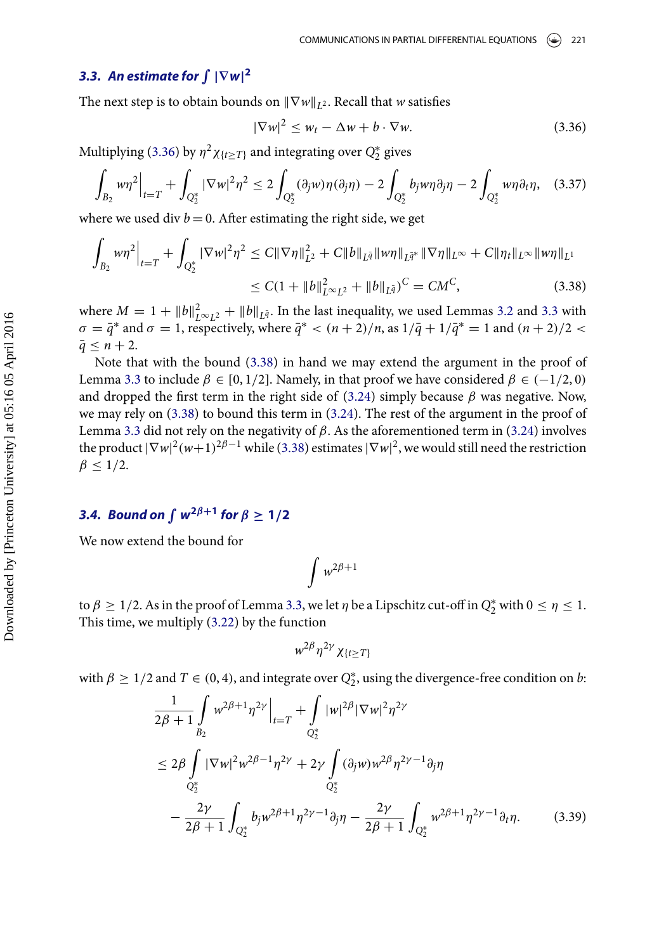## **3.3.** An estimate for  $\int |\nabla w|^2$

The next step is to obtain bounds on  $\|\nabla w\|_{L^2}$ . Recall that w satisfies

<span id="page-14-0"></span>
$$
|\nabla w|^2 \le w_t - \Delta w + b \cdot \nabla w. \tag{3.36}
$$

Multiplying [\(3.36\)](#page-14-0) by  $\eta^2 \chi_{\{t \geq T\}}$  and integrating over  $Q_2^*$  gives

$$
\int_{B_2} w \eta^2 \Big|_{t=T} + \int_{Q_2^*} |\nabla w|^2 \eta^2 \le 2 \int_{Q_2^*} (\partial_j w) \eta(\partial_j \eta) - 2 \int_{Q_2^*} b_j w \eta \partial_j \eta - 2 \int_{Q_2^*} w \eta \partial_t \eta, \quad (3.37)
$$

where we used div  $b = 0$ . After estimating the right side, we get

<span id="page-14-1"></span>
$$
\int_{B_2} w \eta^2 \Big|_{t=T} + \int_{Q_2^*} |\nabla w|^2 \eta^2 \le C \|\nabla \eta\|_{L^2}^2 + C \|b\|_{L^{\bar{q}}} \|w\eta\|_{L^{\bar{q}^*}} \|\nabla \eta\|_{L^\infty} + C \|\eta_t\|_{L^\infty} \|w\eta\|_{L^1}
$$
  

$$
\le C(1 + \|b\|_{L^\infty L^2}^2 + \|b\|_{L^{\bar{q}}})^C = CM^C,
$$
 (3.38)

where  $M = 1 + ||b||_{L^{\infty}L^2}^2 + ||b||_{L^{\bar{q}}}$ . In the last inequality, we used Lemmas [3.2](#page-8-1) and [3.3](#page-11-0) with  $\sigma = \bar{q}^*$  and  $\sigma = 1$ , respectively, where  $\bar{q}^* < (n+2)/n$ , as  $1/\bar{q} + 1/\bar{q}^* = 1$  and  $(n+2)/2 <$  $\bar{q}$  < n + 2.

Note that with the bound [\(3.38\)](#page-14-1) in hand we may extend the argument in the proof of Lemma [3.3](#page-11-0) to include  $\beta \in [0, 1/2]$ . Namely, in that proof we have considered  $\beta \in (-1/2, 0)$ and dropped the first term in the right side of [\(3.24\)](#page-11-2) simply because  $\beta$  was negative. Now, we may rely on [\(3.38\)](#page-14-1) to bound this term in [\(3.24\)](#page-11-2). The rest of the argument in the proof of Lemma [3.3](#page-11-0) did not rely on the negativity of  $\beta$ . As the aforementioned term in [\(3.24\)](#page-11-2) involves the product  $|\nabla w|^2 (w+1)^{2\beta-1}$  while [\(3.38\)](#page-14-1) estimates  $|\nabla w|^2$ , we would still need the restriction  $\beta$  < 1/2.

## **3.4.** Bound on  $\int w^{2\beta+1}$  for  $\beta \ge 1/2$

We now extend the bound for

$$
\int w^{2\beta+1}
$$

to  $\beta \geq 1/2$ . As in the proof of Lemma [3.3,](#page-11-0) we let  $\eta$  be a Lipschitz cut-off in  $Q_2^*$  with  $0 \leq \eta \leq 1$ . This time, we multiply [\(3.22\)](#page-11-1) by the function

$$
w^{2\beta}\eta^{2\gamma}\chi_{\{t\geq T\}}
$$

with  $\beta \geq 1/2$  and  $T \in (0, 4)$ , and integrate over  $Q_2^*$ , using the divergence-free condition on b.

<span id="page-14-2"></span>
$$
\frac{1}{2\beta+1} \int_{B_2} w^{2\beta+1} \eta^{2\gamma} \Big|_{t=T} + \int_{Q_2^*} |w|^{2\beta} |\nabla w|^2 \eta^{2\gamma}
$$
\n
$$
\leq 2\beta \int_{Q_2^*} |\nabla w|^2 w^{2\beta-1} \eta^{2\gamma} + 2\gamma \int_{Q_2^*} (\partial_j w) w^{2\beta} \eta^{2\gamma-1} \partial_j \eta
$$
\n
$$
- \frac{2\gamma}{2\beta+1} \int_{Q_2^*} b_j w^{2\beta+1} \eta^{2\gamma-1} \partial_j \eta - \frac{2\gamma}{2\beta+1} \int_{Q_2^*} w^{2\beta+1} \eta^{2\gamma-1} \partial_t \eta. \tag{3.39}
$$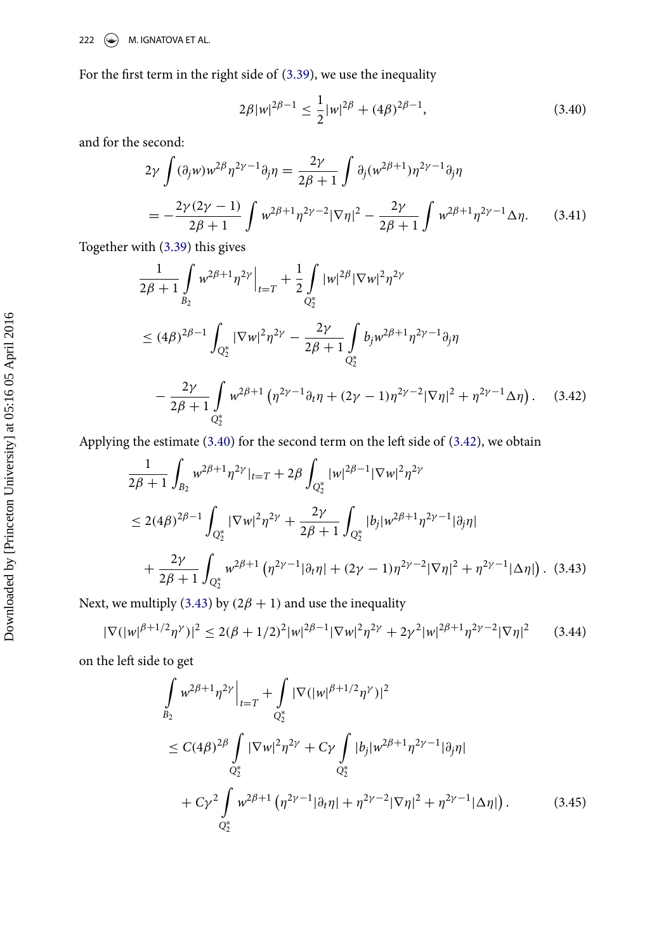For the first term in the right side of [\(3.39\)](#page-14-2), we use the inequality

<span id="page-15-0"></span>
$$
2\beta |w|^{2\beta - 1} \le \frac{1}{2} |w|^{2\beta} + (4\beta)^{2\beta - 1},\tag{3.40}
$$

and for the second:

$$
2\gamma \int (\partial_j w) w^{2\beta} \eta^{2\gamma - 1} \partial_j \eta = \frac{2\gamma}{2\beta + 1} \int \partial_j (w^{2\beta + 1}) \eta^{2\gamma - 1} \partial_j \eta
$$
  
= 
$$
-\frac{2\gamma (2\gamma - 1)}{2\beta + 1} \int w^{2\beta + 1} \eta^{2\gamma - 2} |\nabla \eta|^2 - \frac{2\gamma}{2\beta + 1} \int w^{2\beta + 1} \eta^{2\gamma - 1} \Delta \eta.
$$
 (3.41)

Together with [\(3.39\)](#page-14-2) this gives

<span id="page-15-1"></span>
$$
\frac{1}{2\beta+1} \int_{B_2} w^{2\beta+1} \eta^{2\gamma} \Big|_{t=T} + \frac{1}{2} \int_{Q_2^*} |w|^{2\beta} |\nabla w|^2 \eta^{2\gamma}
$$
\n
$$
\leq (4\beta)^{2\beta-1} \int_{Q_2^*} |\nabla w|^2 \eta^{2\gamma} - \frac{2\gamma}{2\beta+1} \int_{Q_2^*} b_j w^{2\beta+1} \eta^{2\gamma-1} \partial_j \eta
$$
\n
$$
- \frac{2\gamma}{2\beta+1} \int_{Q_2^*} w^{2\beta+1} \left( \eta^{2\gamma-1} \partial_t \eta + (2\gamma-1) \eta^{2\gamma-2} |\nabla \eta|^2 + \eta^{2\gamma-1} \Delta \eta \right). \quad (3.42)
$$

Applying the estimate  $(3.40)$  for the second term on the left side of  $(3.42)$ , we obtain

<span id="page-15-2"></span>
$$
\frac{1}{2\beta+1} \int_{B_2} w^{2\beta+1} \eta^{2\gamma} |_{t=T} + 2\beta \int_{Q_2^*} |w|^{2\beta-1} |\nabla w|^2 \eta^{2\gamma}
$$
\n
$$
\leq 2(4\beta)^{2\beta-1} \int_{Q_2^*} |\nabla w|^2 \eta^{2\gamma} + \frac{2\gamma}{2\beta+1} \int_{Q_2^*} |b_j| w^{2\beta+1} \eta^{2\gamma-1} |\partial_j \eta|
$$
\n
$$
+ \frac{2\gamma}{2\beta+1} \int_{Q_2^*} w^{2\beta+1} \left( \eta^{2\gamma-1} |\partial_t \eta| + (2\gamma - 1) \eta^{2\gamma-2} |\nabla \eta|^2 + \eta^{2\gamma-1} |\Delta \eta| \right). \tag{3.43}
$$

Next, we multiply [\(3.43\)](#page-15-2) by  $(2\beta + 1)$  and use the inequality

$$
|\nabla (|w|^{\beta+1/2}\eta^{\gamma})|^2 \le 2(\beta+1/2)^2|w|^{2\beta-1}|\nabla w|^2\eta^{2\gamma} + 2\gamma^2|w|^{2\beta+1}\eta^{2\gamma-2}|\nabla \eta|^2 \qquad (3.44)
$$

on the left side to get

$$
\int_{B_2} w^{2\beta+1} \eta^{2\gamma} \Big|_{t=T} + \int_{Q_2^*} |\nabla (|w|^{\beta+1/2} \eta^{\gamma})|^2
$$
\n
$$
\leq C (4\beta)^{2\beta} \int_{Q_2^*} |\nabla w|^2 \eta^{2\gamma} + C\gamma \int_{Q_2^*} |b_j| w^{2\beta+1} \eta^{2\gamma-1} |\partial_j \eta|
$$
\n
$$
+ C\gamma^2 \int_{Q_2^*} w^{2\beta+1} \left( \eta^{2\gamma-1} |\partial_t \eta| + \eta^{2\gamma-2} |\nabla \eta|^2 + \eta^{2\gamma-1} |\Delta \eta| \right). \tag{3.45}
$$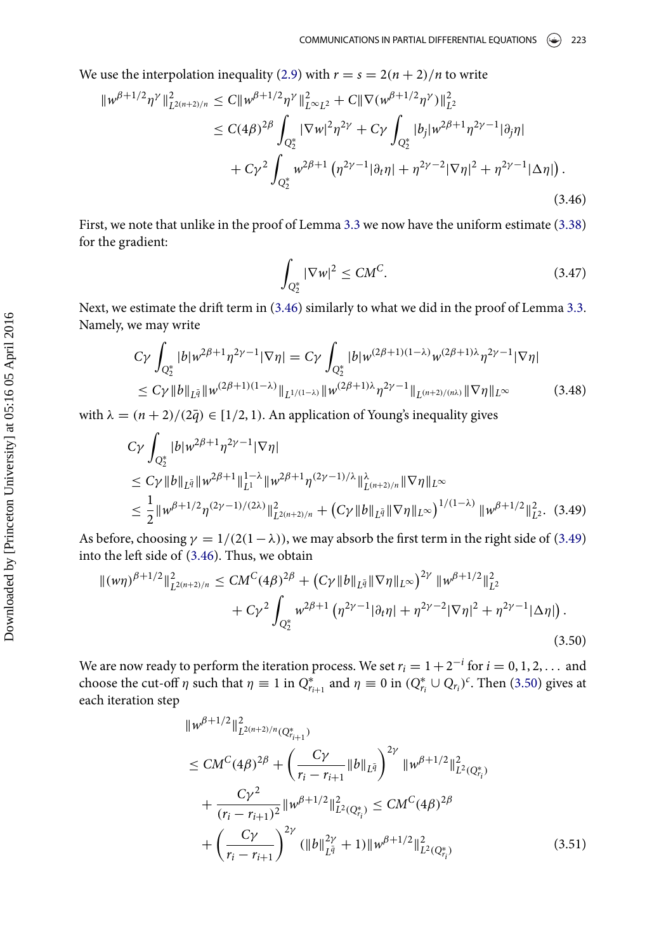We use the interpolation inequality [\(2.9\)](#page-5-4) with  $r = s = 2(n + 2)/n$  to write

<span id="page-16-0"></span>
$$
\|w^{\beta+1/2}\eta^{\gamma}\|_{L^{2(n+2)/n}}^{2} \leq C\|w^{\beta+1/2}\eta^{\gamma}\|_{L^{\infty}L^{2}}^{2} + C\|\nabla(w^{\beta+1/2}\eta^{\gamma})\|_{L^{2}}^{2}
$$
  
\n
$$
\leq C(4\beta)^{2\beta} \int_{Q_{2}^{*}} |\nabla w|^{2}\eta^{2\gamma} + C\gamma \int_{Q_{2}^{*}} |b_{j}|w^{2\beta+1}\eta^{2\gamma-1}|\partial_{j}\eta|
$$
  
\n
$$
+ C\gamma^{2} \int_{Q_{2}^{*}} w^{2\beta+1} \left(\eta^{2\gamma-1}|\partial_{t}\eta| + \eta^{2\gamma-2}|\nabla\eta|^{2} + \eta^{2\gamma-1}|\Delta\eta|\right).
$$
\n(3.46)

First, we note that unlike in the proof of Lemma [3.3](#page-11-0) we now have the uniform estimate [\(3.38\)](#page-14-1) for the gradient:

$$
\int_{Q_2^*} |\nabla w|^2 \le CM^C. \tag{3.47}
$$

Next, we estimate the drift term in  $(3.46)$  similarly to what we did in the proof of Lemma [3.3.](#page-11-0) Namely, we may write

$$
C\gamma \int_{Q_2^*} |b| w^{2\beta+1} \eta^{2\gamma-1} |\nabla \eta| = C\gamma \int_{Q_2^*} |b| w^{(2\beta+1)(1-\lambda)} w^{(2\beta+1)\lambda} \eta^{2\gamma-1} |\nabla \eta|
$$
  
\n
$$
\le C\gamma \|b\|_{L^{\bar{q}}}\|w^{(2\beta+1)(1-\lambda)}\|_{L^{1/(1-\lambda)}} \|w^{(2\beta+1)\lambda} \eta^{2\gamma-1}\|_{L^{(n+2)/(n\lambda)}} \|\nabla \eta\|_{L^\infty}
$$
(3.48)

with  $\lambda = (n + 2)/(2\overline{q}) \in [1/2, 1)$ . An application of Young's inequality gives

<span id="page-16-1"></span>
$$
C\gamma \int_{Q_2^*} |b| w^{2\beta+1} \eta^{2\gamma-1} |\nabla \eta|
$$
  
\n
$$
\leq C\gamma \|b\|_{L^{\bar{q}}} \|w^{2\beta+1}\|_{L^1}^{1-\lambda} \|w^{2\beta+1}\eta^{(2\gamma-1)/\lambda}\|_{L^{(n+2)/n}}^{\lambda} \|\nabla \eta\|_{L^\infty}
$$
  
\n
$$
\leq \frac{1}{2} \|w^{\beta+1/2} \eta^{(2\gamma-1)/(2\lambda)}\|_{L^{2(n+2)/n}}^2 + (C\gamma \|b\|_{L^{\bar{q}}} \|\nabla \eta\|_{L^\infty})^{1/(1-\lambda)} \|w^{\beta+1/2}\|_{L^2}^2.
$$
 (3.49)

As before, choosing  $\gamma = 1/(2(1 - \lambda))$ , we may absorb the first term in the right side of [\(3.49\)](#page-16-1) into the left side of  $(3.46)$ . Thus, we obtain

<span id="page-16-2"></span>
$$
\|(\mathbf{w}\eta)^{\beta+1/2}\|_{L^{2(n+2)/n}}^2 \le CM^C(4\beta)^{2\beta} + \left(C\gamma \|b\|_{L^{\overline{q}}} \|\nabla \eta\|_{L^\infty}\right)^{2\gamma} \|w^{\beta+1/2}\|_{L^2}^2 + C\gamma^2 \int_{Q_2^*} w^{2\beta+1} \left(\eta^{2\gamma-1} |\partial_t \eta| + \eta^{2\gamma-2} |\nabla \eta|^2 + \eta^{2\gamma-1} |\Delta \eta|\right). \tag{3.50}
$$

We are now ready to perform the iteration process. We set  $r_i = 1 + 2^{-i}$  for  $i = 0, 1, 2, ...$  and choose the cut-off  $\eta$  such that  $\eta \equiv 1$  in  $Q_{r_{i+1}}^*$  and  $\eta \equiv 0$  in  $(Q_{r_i}^* \cup Q_{r_i})^c$ . Then [\(3.50\)](#page-16-2) gives at each iteration step

$$
\|w^{\beta+1/2}\|_{L^{2(n+2)/n}(Q_{r_{i+1}}^*)}^2
$$
\n
$$
\leq CM^C(4\beta)^{2\beta} + \left(\frac{C\gamma}{r_i - r_{i+1}} \|b\|_{L^{\bar{q}}}\right)^{2\gamma} \|w^{\beta+1/2}\|_{L^2(Q_{r_i}^*)}^2
$$
\n
$$
+ \frac{C\gamma^2}{(r_i - r_{i+1})^2} \|w^{\beta+1/2}\|_{L^2(Q_{r_i}^*)}^2 \leq CM^C(4\beta)^{2\beta}
$$
\n
$$
+ \left(\frac{C\gamma}{r_i - r_{i+1}}\right)^{2\gamma} (\|b\|_{L^{\bar{q}}}^{2\gamma} + 1) \|w^{\beta+1/2}\|_{L^2(Q_{r_i}^*)}^2 \tag{3.51}
$$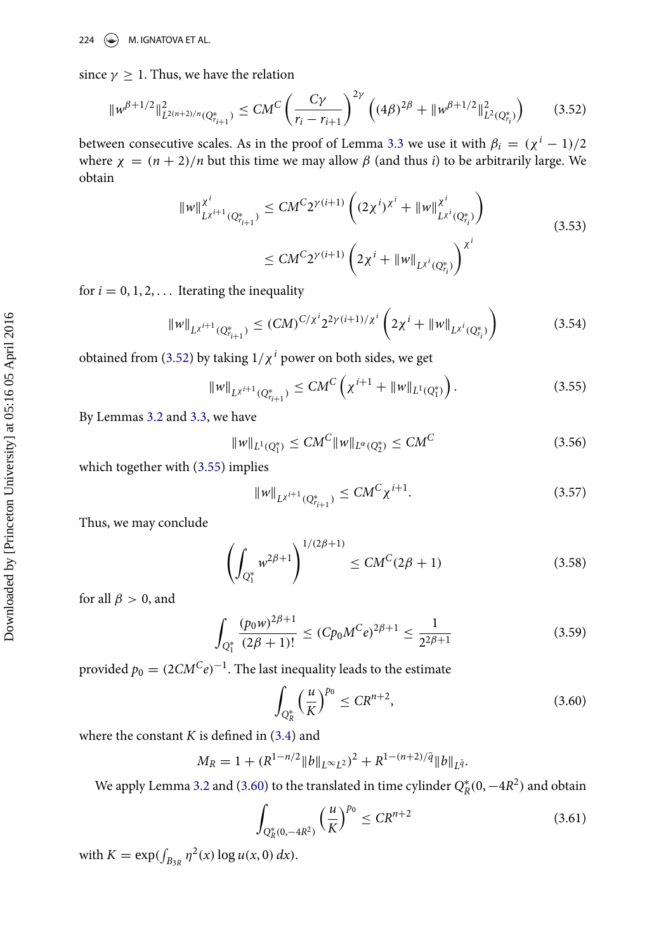since  $\gamma \geq 1$ . Thus, we have the relation

<span id="page-17-0"></span>
$$
\|w^{\beta+1/2}\|_{L^{2(n+2)/n}(Q_{r_{i+1}}^*)}^2 \le CM^C \left(\frac{C\gamma}{r_i - r_{i+1}}\right)^{2\gamma} \left((4\beta)^{2\beta} + \|w^{\beta+1/2}\|_{L^2(Q_{r_i}^*)}^2\right) \tag{3.52}
$$

between consecutive scales. As in the proof of Lemma [3.3](#page-11-0) we use it with  $\beta_i = (\chi^i - 1)/2$ where  $\chi = (n + 2)/n$  but this time we may allow  $\beta$  (and thus *i*) to be arbitrarily large. We obtain

$$
\|w\|_{L^{x^{i+1}}(Q^*_{r_{i+1}})}^{x^i} \le CM^C 2^{\gamma(i+1)} \left( (2\chi^i)^{x^i} + \|w\|_{L^{x^i}(Q^*_{r_i})}^{x^i} \right)
$$
  

$$
\le CM^C 2^{\gamma(i+1)} \left( 2\chi^i + \|w\|_{L^{x^i}(Q^*_{r_i})} \right)^{x^i}
$$
(3.53)

for  $i = 0, 1, 2, \ldots$  Iterating the inequality

$$
||w||_{L^{\chi^{i+1}}(Q^*_{r_{i+1}})} \le (CM)^{C/\chi^i} 2^{2\gamma(i+1)/\chi^i} \left(2\chi^i + ||w||_{L^{\chi^i}(Q^*_{r_i})}\right)
$$
(3.54)

obtained from [\(3.52\)](#page-17-0) by taking  $1/\chi^i$  power on both sides, we get

<span id="page-17-1"></span>
$$
||w||_{L^{\chi^{i+1}}(Q_{r_{i+1}}^*)} \le CM^C\left(\chi^{i+1} + ||w||_{L^1(Q_1^*)}\right). \tag{3.55}
$$

By Lemmas [3.2](#page-8-1) and [3.3,](#page-11-0) we have

$$
||w||_{L^{1}(Q_{1}^{*})} \le CM^{C}||w||_{L^{\alpha}(Q_{2}^{*})} \le CM^{C}
$$
\n(3.56)

which together with  $(3.55)$  implies

$$
||w||_{L^{\chi^{i+1}}(Q_{r_{i+1}}^*)} \le CM^C \chi^{i+1}.
$$
\n(3.57)

Thus, we may conclude

$$
\left(\int_{Q_1^*} w^{2\beta+1}\right)^{1/(2\beta+1)} \le CM^C(2\beta+1)
$$
\n(3.58)

for all  $\beta > 0$ , and

$$
\int_{Q_1^*} \frac{(p_0 w)^{2\beta+1}}{(2\beta+1)!} \le (C p_0 M^C e)^{2\beta+1} \le \frac{1}{2^{2\beta+1}} \tag{3.59}
$$

provided  $p_0 = (2CM^C e)^{-1}$ . The last inequality leads to the estimate

<span id="page-17-2"></span>
$$
\int_{Q_R^*} \left(\frac{u}{K}\right)^{p_0} \leq CR^{n+2},\tag{3.60}
$$

where the constant  $K$  is defined in  $(3.4)$  and

$$
M_R = 1 + (R^{1 - n/2} ||b||_{L^{\infty}L^2})^2 + R^{1 - (n+2)/\bar{q}} ||b||_{L^{\bar{q}}}.
$$

We apply Lemma [3.2](#page-8-1) and [\(3.60\)](#page-17-2) to the translated in time cylinder  $Q_R^*(0, -4R^2)$  and obtain

$$
\int_{Q_R^*(0,-4R^2)} \left(\frac{u}{K}\right)^{p_0} \leq CR^{n+2}
$$
\n(3.61)

with  $K = \exp(\int_{B_{3R}} \eta^2(x) \log u(x, 0) dx)$ .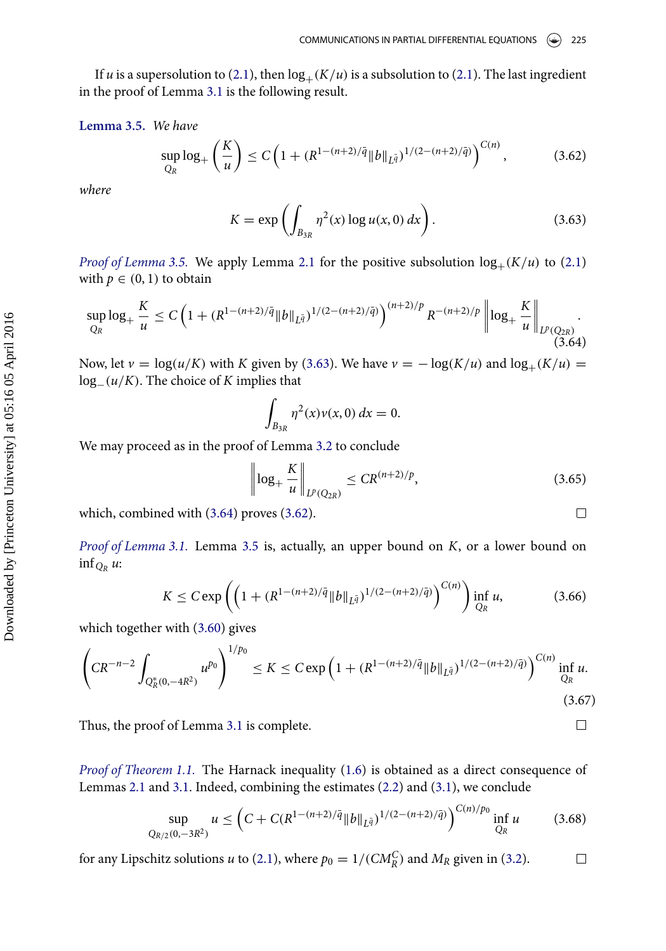<span id="page-18-0"></span>If u is a supersolution to [\(2.1\)](#page-3-1), then  $log_+(K/u)$  is a subsolution to (2.1). The last ingredient in the proof of Lemma [3.1](#page-8-0) is the following result.

**Lemma 3.5.** We have

<span id="page-18-3"></span>
$$
\sup_{Q_R} \log_+\left(\frac{K}{u}\right) \le C\left(1 + (R^{1-(n+2)/\bar{q}} \|b\|_{L^{\bar{q}}})^{1/(2-(n+2)/\bar{q})}\right)^{C(n)},\tag{3.62}
$$

where

<span id="page-18-1"></span>
$$
K = \exp\left(\int_{B_{3R}} \eta^2(x) \log u(x, 0) \, dx\right). \tag{3.63}
$$

*Proof of Lemma [3.5.](#page-18-0)* We apply Lemma [2.1](#page-3-0) for the positive subsolution  $log_+(K/u)$  to [\(2.1\)](#page-3-1) with  $p \in (0, 1)$  to obtain

<span id="page-18-2"></span>
$$
\sup_{Q_R} \log_+ \frac{K}{u} \le C \left( 1 + (R^{1 - (n+2)/\bar{q}} \|b\|_{L^{\bar{q}}})^{1/(2 - (n+2)/\bar{q})} \right)^{(n+2)/p} R^{-(n+2)/p} \left\| \log_+ \frac{K}{u} \right\|_{L^p(Q_{2R})}.
$$
\n(3.64)

Now, let  $v = \log(u/K)$  with K given by [\(3.63\)](#page-18-1). We have  $v = -\log(K/u)$  and  $\log_+(K/u)$  $log_-(u/K)$ . The choice of K implies that

$$
\int_{B_{3R}} \eta^2(x) \nu(x,0) \, dx = 0.
$$

We may proceed as in the proof of Lemma [3.2](#page-8-1) to conclude

$$
\left\| \log_{+} \frac{K}{u} \right\|_{L^{p}(Q_{2R})} \leq CR^{(n+2)/p},\tag{3.65}
$$

 $\Box$ 

 $\Box$ 

which, combined with [\(3.64\)](#page-18-2) proves [\(3.62\)](#page-18-3).

Proof of Lemma [3.1.](#page-8-0) Lemma [3.5](#page-18-0) is, actually, an upper bound on K, or a lower bound on inf $_{Q_R} u$ :

$$
K \leq C \exp\left( \left( 1 + (R^{1 - (n+2)/\bar{q}} \|b\|_{L^{\bar{q}}})^{1/(2 - (n+2)/\bar{q})} \right)^{C(n)} \right) \inf_{Q_R} u,
$$
 (3.66)

which together with [\(3.60\)](#page-17-2) gives

$$
\left(CR^{-n-2}\int_{Q_R^*(0,-4R^2)}u^{p_0}\right)^{1/p_0} \le K \le C\exp\left(1+(R^{1-(n+2)/\bar{q}}\|b\|_{L^{\bar{q}}})^{1/(2-(n+2)/\bar{q})}\right)^{C(n)}\inf_{Q_R}u.
$$
\n(3.67)

Thus, the proof of Lemma [3.1](#page-8-0) is complete.

Proof of Theorem [1.1.](#page-2-0) The Harnack inequality [\(1.6\)](#page-2-1) is obtained as a direct consequence of Lemmas [2.1](#page-3-0) and [3.1.](#page-8-0) Indeed, combining the estimates [\(2.2\)](#page-4-0) and [\(3.1\)](#page-8-5), we conclude

$$
\sup_{Q_{R/2}(0,-3R^2)} u \le \left( C + C(R^{1-(n+2)/\bar{q}} \|b\|_{L^{\bar{q}}})^{1/(2-(n+2)/\bar{q})} \right)^{C(n)/p_0} \inf_{Q_R} u \tag{3.68}
$$

for any Lipschitz solutions u to [\(2.1\)](#page-3-1), where  $p_0 = 1/(CM_R^C)$  and  $M_R$  given in [\(3.2\)](#page-8-6).  $\Box$